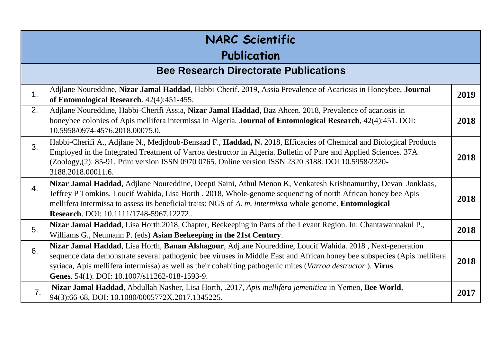| <b>NARC Scientific</b><br>Publication |                                                                                                                                                                                                                                                                                                                                                                                                       |      |
|---------------------------------------|-------------------------------------------------------------------------------------------------------------------------------------------------------------------------------------------------------------------------------------------------------------------------------------------------------------------------------------------------------------------------------------------------------|------|
|                                       | <b>Bee Research Directorate Publications</b>                                                                                                                                                                                                                                                                                                                                                          |      |
| 1.                                    | Adjlane Noureddine, Nizar Jamal Haddad, Habbi-Cherif. 2019, Assia Prevalence of Acariosis in Honeybee, Journal<br>of Entomological Research. 42(4):451-455.                                                                                                                                                                                                                                           | 2019 |
| 2.                                    | Adjlane Noureddine, Habbi-Cherifi Assia, Nizar Jamal Haddad, Baz Ahcen. 2018, Prevalence of acariosis in<br>honeybee colonies of Apis mellifera intermissa in Algeria. Journal of Entomological Research, 42(4):451. DOI:<br>10.5958/0974-4576.2018.00075.0.                                                                                                                                          | 2018 |
| 3.                                    | Habbi-Cherifi A., Adjlane N., Medjdoub-Bensaad F., Haddad, N. 2018, Efficacies of Chemical and Biological Products<br>Employed in the Integrated Treatment of Varroa destructor in Algeria. Bulletin of Pure and Applied Sciences. 37A<br>(Zoology, (2): 85-91. Print version ISSN 0970 0765. Online version ISSN 2320 3188. DOI 10.5958/2320-<br>3188.2018.00011.6.                                  | 2018 |
| 4.                                    | Nizar Jamal Haddad, Adjlane Noureddine, Deepti Saini, Athul Menon K, Venkatesh Krishnamurthy, Devan Jonklaas,<br>Jeffrey P Tomkins, Loucif Wahida, Lisa Horth . 2018, Whole-genome sequencing of north African honey bee Apis<br>mellifera intermissa to assess its beneficial traits: NGS of A. m. intermissa whole genome. Entomological<br>Research. DOI: 10.1111/1748-5967.12272                  | 2018 |
| 5.                                    | Nizar Jamal Haddad, Lisa Horth.2018, Chapter, Beekeeping in Parts of the Levant Region. In: Chantawannakul P.,<br>Williams G., Neumann P. (eds) Asian Beekeeping in the 21st Century.                                                                                                                                                                                                                 | 2018 |
| 6.                                    | Nizar Jamal Haddad, Lisa Horth, Banan Alshagour, Adjlane Noureddine, Loucif Wahida. 2018, Next-generation<br>sequence data demonstrate several pathogenic bee viruses in Middle East and African honey bee subspecies (Apis mellifera<br>syriaca, Apis mellifera intermissa) as well as their cohabiting pathogenic mites (Varroa destructor). Virus<br>Genes. 54(1). DOI: 10.1007/s11262-018-1593-9. | 2018 |
| 7.                                    | Nizar Jamal Haddad, Abdullah Nasher, Lisa Horth, .2017, Apis mellifera jemenitica in Yemen, Bee World,<br>94(3):66-68, DOI: 10.1080/0005772X.2017.1345225.                                                                                                                                                                                                                                            | 2017 |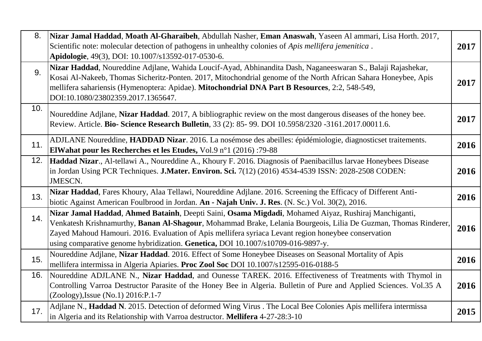| 8.  | Nizar Jamal Haddad, Moath Al-Gharaibeh, Abdullah Nasher, Eman Anaswah, Yaseen Al ammari, Lisa Horth. 2017,<br>Scientific note: molecular detection of pathogens in unhealthy colonies of Apis mellifera jemenitica.<br>Apidologie, 49(3), DOI: 10.1007/s13592-017-0530-6.                                                                                                                                           | 2017 |
|-----|---------------------------------------------------------------------------------------------------------------------------------------------------------------------------------------------------------------------------------------------------------------------------------------------------------------------------------------------------------------------------------------------------------------------|------|
| 9.  | Nizar Haddad, Noureddine Adjlane, Wahida Loucif-Ayad, Abhinandita Dash, Naganeeswaran S., Balaji Rajashekar,<br>Kosai Al-Nakeeb, Thomas Sicheritz-Ponten. 2017, Mitochondrial genome of the North African Sahara Honeybee, Apis<br>mellifera sahariensis (Hymenoptera: Apidae). Mitochondrial DNA Part B Resources, 2:2, 548-549,<br>DOI:10.1080/23802359.2017.1365647.                                             | 2017 |
| 10. | Noureddine Adjlane, Nizar Haddad. 2017, A bibliographic review on the most dangerous diseases of the honey bee.<br>Review. Article. Bio- Science Research Bulletin, 33 (2): 85- 99. DOI 10.5958/2320 -3161.2017.00011.6.                                                                                                                                                                                            | 2017 |
| 11. | ADJLANE Noureddine, HADDAD Nizar. 2016. La nosémose des abeilles: épidémiologie, diagnosticset traitements.<br>ElWahat pour les Recherches et les Etudes, Vol.9 n°1 (2016) :79-88                                                                                                                                                                                                                                   | 2016 |
| 12. | Haddad Nizar., Al-tellawi A., Noureddine A., Khoury F. 2016. Diagnosis of Paenibacillus larvae Honeybees Disease<br>in Jordan Using PCR Techniques. J.Mater. Environ. Sci. 7(12) (2016) 4534-4539 ISSN: 2028-2508 CODEN:<br><b>JMESCN.</b>                                                                                                                                                                          | 2016 |
| 13. | Nizar Haddad, Fares Khoury, Alaa Tellawi, Noureddine Adjlane. 2016. Screening the Efficacy of Different Anti-<br>biotic Against American Foulbrood in Jordan. An - Najah Univ. J. Res. (N. Sc.) Vol. 30(2), 2016.                                                                                                                                                                                                   | 2016 |
| 14. | Nizar Jamal Haddad, Ahmed Batainh, Deepti Saini, Osama Migdadi, Mohamed Aiyaz, Rushiraj Manchiganti,<br>Venkatesh Krishnamurthy, Banan Al-Shagour, Mohammad Brake, Lelania Bourgeois, Lilia De Guzman, Thomas Rinderer,<br>Zayed Mahoud Hamouri. 2016. Evaluation of Apis mellifera syriaca Levant region honeybee conservation<br>using comparative genome hybridization. Genetica, DOI 10.1007/s10709-016-9897-y. | 2016 |
| 15. | Noureddine Adjlane, Nizar Haddad. 2016. Effect of Some Honeybee Diseases on Seasonal Mortality of Apis<br>mellifera intermissa in Algeria Apiaries. Proc Zool Soc DOI 10.1007/s12595-016-0188-5                                                                                                                                                                                                                     | 2016 |
| 16. | Noureddine ADJLANE N., Nizar Haddad, and Ounesse TAREK. 2016. Effectiveness of Treatments with Thymol in<br>Controlling Varroa Destructor Parasite of the Honey Bee in Algeria. Bulletin of Pure and Applied Sciences. Vol.35 A<br>(Zoology), Issue (No.1) 2016: P.1-7                                                                                                                                              | 2016 |
| 17. | Adjlane N., Haddad N. 2015. Detection of deformed Wing Virus . The Local Bee Colonies Apis mellifera intermissa<br>in Algeria and its Relationship with Varroa destructor. Mellifera 4-27-28:3-10                                                                                                                                                                                                                   | 2015 |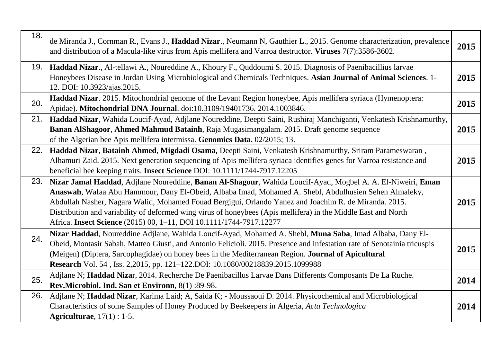| 18. | de Miranda J., Cornman R., Evans J., Haddad Nizar., Neumann N, Gauthier L., 2015. Genome characterization, prevalence<br>and distribution of a Macula-like virus from Apis mellifera and Varroa destructor. Viruses 7(7):3586-3602.                                                                                                                                                                                                                                                                                    | 2015 |
|-----|------------------------------------------------------------------------------------------------------------------------------------------------------------------------------------------------------------------------------------------------------------------------------------------------------------------------------------------------------------------------------------------------------------------------------------------------------------------------------------------------------------------------|------|
| 19. | Haddad Nizar., Al-tellawi A., Noureddine A., Khoury F., Quddoumi S. 2015. Diagnosis of Paenibacillius larvae<br>Honeybees Disease in Jordan Using Microbiological and Chemicals Techniques. Asian Journal of Animal Sciences. 1-<br>12. DOI: 10.3923/ajas.2015.                                                                                                                                                                                                                                                        | 2015 |
| 20. | Haddad Nizar. 2015. Mitochondrial genome of the Levant Region honeybee, Apis mellifera syriaca (Hymenoptera:<br>Apidae). Mitochondrial DNA Journal. doi:10.3109/19401736. 2014.1003846.                                                                                                                                                                                                                                                                                                                                | 2015 |
| 21. | Haddad Nizar, Wahida Loucif-Ayad, Adjlane Noureddine, Deepti Saini, Rushiraj Manchiganti, Venkatesh Krishnamurthy,<br>Banan AlShagoor, Ahmed Mahmud Batainh, Raja Mugasimangalam. 2015. Draft genome sequence<br>of the Algerian bee Apis mellifera intermissa. Genomics Data. 02/2015; 13.                                                                                                                                                                                                                            | 2015 |
| 22. | Haddad Nizar, Batainh Ahmed, Migdadi Osama, Deepti Saini, Venkatesh Krishnamurthy, Sriram Parameswaran,<br>Alhamuri Zaid. 2015. Next generation sequencing of Apis mellifera syriaca identifies genes for Varroa resistance and<br>beneficial bee keeping traits. Insect Science DOI: 10.1111/1744-7917.12205                                                                                                                                                                                                          | 2015 |
| 23. | Nizar Jamal Haddad, Adjlane Noureddine, Banan Al-Shagour, Wahida Loucif-Ayad, Mogbel A. A. El-Niweiri, Eman<br>Anaswah, Wafaa Abu Hammour, Dany El-Obeid, Albaba Imad, Mohamed A. Shebl, Abdulhusien Sehen Almaleky,<br>Abdullah Nasher, Nagara Walid, Mohamed Fouad Bergigui, Orlando Yanez and Joachim R. de Miranda. 2015.<br>Distribution and variability of deformed wing virus of honeybees (Apis mellifera) in the Middle East and North<br>Africa. Insect Science (2015) 00, 1-11, DOI 10.1111/1744-7917.12277 | 2015 |
| 24. | Nizar Haddad, Noureddine Adjlane, Wahida Loucif-Ayad, Mohamed A. Shebl, Muna Saba, Imad Albaba, Dany El-<br>Obeid, Montasir Sabah, Matteo Giusti, and Antonio Felicioli. 2015. Presence and infestation rate of Senotainia tricuspis<br>(Meigen) (Diptera, Sarcophagidae) on honey bees in the Mediterranean Region. Journal of Apicultural<br>Research Vol. 54, Iss. 2,2015, pp. 121-122.DOI: 10.1080/00218839.2015.1099988                                                                                           | 2015 |
| 25. | Adjlane N; Haddad Nizar, 2014. Recherche De Paenibacillus Larvae Dans Differents Composants De La Ruche.<br>Rev.Microbiol. Ind. San et Environn, 8(1):89-98.                                                                                                                                                                                                                                                                                                                                                           | 2014 |
| 26. | Adjlane N; Haddad Nizar, Karima Laid; A, Saida K; - Moussaoui D. 2014. Physicochemical and Microbiological<br>Characteristics of some Samples of Honey Produced by Beekeepers in Algeria, Acta Technologica<br>Agriculturae, $17(1): 1-5$ .                                                                                                                                                                                                                                                                            | 2014 |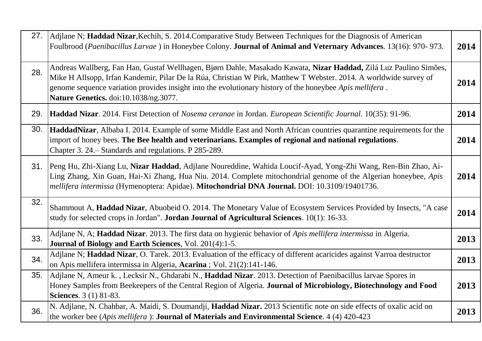| 27. | Adjlane N; Haddad Nizar, Kechih, S. 2014. Comparative Study Between Techniques for the Diagnosis of American<br>Foulbrood (Paenibacillus Larvae) in Honeybee Colony. Journal of Animal and Veternary Advances. 13(16): 970-973.                                                                                                                                                             | 2014 |
|-----|---------------------------------------------------------------------------------------------------------------------------------------------------------------------------------------------------------------------------------------------------------------------------------------------------------------------------------------------------------------------------------------------|------|
| 28. | Andreas Wallberg, Fan Han, Gustaf Wellhagen, Bjørn Dahle, Masakado Kawata, Nizar Haddad, Zilá Luz Paulino Simões,<br>Mike H Allsopp, Irfan Kandemir, Pilar De la Rúa, Christian W Pirk, Matthew T Webster. 2014. A worldwide survey of<br>genome sequence variation provides insight into the evolutionary history of the honeybee Apis mellifera.<br>Nature Genetics. doi:10.1038/ng.3077. | 2014 |
| 29. | Haddad Nizar. 2014. First Detection of Nosema ceranae in Jordan. European Scientific Journal. 10(35): 91-96.                                                                                                                                                                                                                                                                                | 2014 |
| 30. | HaddadNizar, Albaba I. 2014. Example of some Middle East and North African countries quarantine requirements for the<br>import of honey bees. The Bee health and veterinarians. Examples of regional and national regulations.<br>Chapter 3. 24. Standards and regulations. P 285-289.                                                                                                      | 2014 |
|     | 31. Peng Hu, Zhi-Xiang Lu, Nizar Haddad, Adjlane Noureddine, Wahida Loucif-Ayad, Yong-Zhi Wang, Ren-Bin Zhao, Ai-<br>Ling Zhang, Xin Guan, Hai-Xi Zhang, Hua Niu. 2014. Complete mitochondrial genome of the Algerian honeybee, Apis<br>mellifera intermissa (Hymenoptera: Apidae). Mitochondrial DNA Journal. DOI: 10.3109/19401736.                                                       | 2014 |
| 32. | Shammout A, Haddad Nizar, Abuobeid O. 2014. The Monetary Value of Ecosystem Services Provided by Insects, "A case<br>study for selected crops in Jordan". Jordan Journal of Agricultural Sciences. 10(1): 16-33.                                                                                                                                                                            | 2014 |
| 33. | Adjlane N, A; Haddad Nizar. 2013. The first data on hygienic behavior of Apis mellifera intermissa in Algeria.<br><b>Journal of Biology and Earth Sciences, Vol. 201(4):1-5.</b>                                                                                                                                                                                                            | 2013 |
| 34. | Adjlane N; Haddad Nizar, O. Tarek. 2013. Evaluation of the efficacy of different acaricides against Varroa destructor<br>on Apis mellifera intermissa in Algeria, Acarina ; Vol. 21(2):141-146.                                                                                                                                                                                             | 2013 |
| 35. | Adjlane N, Ameur k., Lecksir N., Ghdarabi N., Haddad Nizar. 2013. Detection of Paenibacillus larvae Spores in<br>Honey Samples from Beekeepers of the Central Region of Algeria. Journal of Microbiology, Biotechnology and Food<br><b>Sciences.</b> 3 (1) 81-83.                                                                                                                           | 2013 |
| 36. | N. Adjlane, N. Chahbar, A. Maidi, S. Doumandji, Haddad Nizar. 2013 Scientific note on side effects of oxalic acid on<br>the worker bee (Apis mellifera): Journal of Materials and Environmental Science. 4 (4) 420-423                                                                                                                                                                      | 2013 |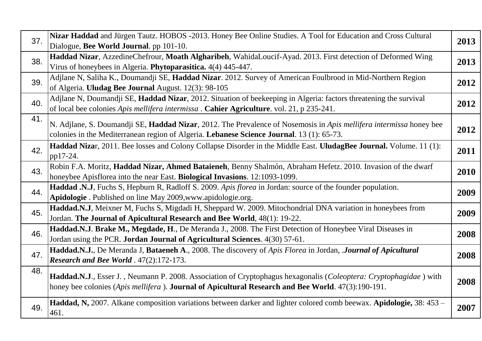| 37. | Nizar Haddad and Jürgen Tautz. HOBOS -2013. Honey Bee Online Studies. A Tool for Education and Cross Cultural<br>Dialogue, Bee World Journal. pp 101-10.                                                                | 2013 |
|-----|-------------------------------------------------------------------------------------------------------------------------------------------------------------------------------------------------------------------------|------|
| 38. | Haddad Nizar, AzzedineChefrour, Moath Algharibeh, WahidaLoucif-Ayad. 2013. First detection of Deformed Wing<br>Virus of honeybees in Algeria. Phytoparasitica. 4(4) 445-447.                                            | 2013 |
| 39. | Adjlane N, Saliha K., Doumandji SE, Haddad Nizar. 2012. Survey of American Foulbrood in Mid-Northern Region<br>of Algeria. Uludag Bee Journal August. 12(3): 98-105                                                     | 2012 |
| 40. | Adjlane N, Doumandji SE, Haddad Nizar, 2012. Situation of beekeeping in Algeria: factors threatening the survival<br>of local bee colonies Apis mellifera intermissa. Cahier Agriculture. vol. 21, p 235-241.           | 2012 |
| 41. | N. Adjlane, S. Doumandji SE, Haddad Nizar, 2012. The Prevalence of Nosemosis in Apis mellifera intermissa honey bee<br>colonies in the Mediterranean region of Algeria. Lebanese Science Journal. 13 (1): 65-73.        | 2012 |
| 42. | Haddad Nizar, 2011. Bee losses and Colony Collapse Disorder in the Middle East. UludagBee Journal. Volume. 11 (1):<br>pp17-24.                                                                                          | 2011 |
| 43. | Robin F.A. Moritz, Haddad Nizar, Ahmed Bataieneh, Benny Shalmón, Abraham Hefetz. 2010. Invasion of the dwarf<br>honeybee Apisflorea into the near East. Biological Invasions. 12:1093-1099.                             | 2010 |
| 44. | Haddad .N.J, Fuchs S, Hepburn R, Radloff S. 2009. Apis florea in Jordan: source of the founder population.<br>Apidologie . Published on line May 2009, www.apidologie.org.                                              | 2009 |
| 45. | Haddad.N.J, Meixner M, Fuchs S, Migdadi H, Sheppard W. 2009. Mitochondrial DNA variation in honeybees from<br>Jordan. The Journal of Apicultural Research and Bee World, 48(1): 19-22.                                  | 2009 |
| 46. | Haddad.N.J. Brake M., Megdade, H., De Meranda J., 2008. The First Detection of Honeybee Viral Diseases in<br>Jordan using the PCR. Jordan Journal of Agricultural Sciences. 4(30) 57-61.                                | 2008 |
| 47. | Haddad.N.J., De Meranda J, Bataeneh A., 2008. The discovery of Apis Florea in Jordan, Journal of Apicultural<br>Research and Bee World . 47(2):172-173.                                                                 | 2008 |
| 48. | Haddad.N.J., Esser J., Neumann P. 2008. Association of Cryptophagus hexagonalis (Coleoptera: Cryptophagidae) with<br>honey bee colonies (Apis mellifera). Journal of Apicultural Research and Bee World. 47(3):190-191. | 2008 |
| 49. | Haddad, N, 2007. Alkane composition variations between darker and lighter colored comb beewax. Apidologie, 38: 453 –<br>461.                                                                                            | 2007 |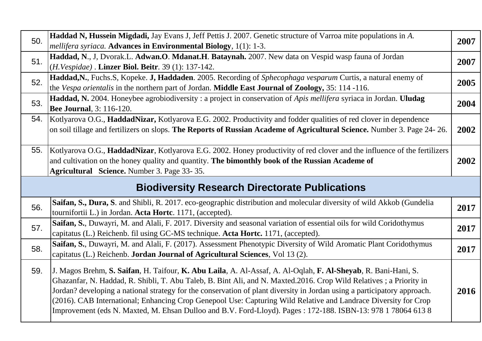| 50.                                                   | Haddad N, Hussein Migdadi, Jay Evans J, Jeff Pettis J. 2007. Genetic structure of Varroa mite populations in A.<br><i>mellifera syriaca</i> . Advances in Environmental Biology, 1(1): 1-3.                                                                                 | 2007 |
|-------------------------------------------------------|-----------------------------------------------------------------------------------------------------------------------------------------------------------------------------------------------------------------------------------------------------------------------------|------|
| 51.                                                   | Haddad, N., J, Dvorak.L. Adwan.O. Mdanat.H. Bataynah. 2007. New data on Vespid wasp fauna of Jordan<br>(H.Vespidae). Linzer Biol. Beitr. 39 (1): 137-142.                                                                                                                   | 2007 |
| 52.                                                   | Haddad, N., Fuchs.S, Kopeke. J, Haddaden. 2005. Recording of Sphecophaga vesparum Curtis, a natural enemy of<br>the Vespa orientalis in the northern part of Jordan. Middle East Journal of Zoology, 35: 114 -116.                                                          | 2005 |
| 53.                                                   | Haddad, N. 2004. Honeybee agrobiodiversity: a project in conservation of Apis mellifera syriaca in Jordan. Uludag<br><b>Bee Journal</b> , 3: 116-120.                                                                                                                       | 2004 |
| 54.                                                   | Kotlyarova O.G., HaddadNizar, Kotlyarova E.G. 2002. Productivity and fodder qualities of red clover in dependence<br>on soil tillage and fertilizers on slops. The Reports of Russian Academe of Agricultural Science. Number 3. Page 24-26.                                | 2002 |
| 55.                                                   | Kotlyarova O.G., HaddadNizar, Kotlyarova E.G. 2002. Honey productivity of red clover and the influence of the fertilizers<br>and cultivation on the honey quality and quantity. The bimonthly book of the Russian Academe of<br>Agricultural Science. Number 3. Page 33-35. | 2002 |
| <b>Biodiversity Research Directorate Publications</b> |                                                                                                                                                                                                                                                                             |      |
|                                                       |                                                                                                                                                                                                                                                                             |      |
| 56.                                                   | Saifan, S., Dura, S. and Shibli, R. 2017. eco-geographic distribution and molecular diversity of wild Akkob (Gundelia<br>tournifortii L.) in Jordan. Acta Hortc. 1171, (accepted).                                                                                          | 2017 |
| 57.                                                   | Saifan, S., Duwayri, M. and Alali, F. 2017. Diversity and seasonal variation of essential oils for wild Coridothymus<br>capitatus (L.) Reichenb. fil using GC-MS technique. Acta Hortc. 1171, (accepted).                                                                   | 2017 |
| 58.                                                   | Saifan, S., Duwayri, M. and Alali, F. (2017). Assessment Phenotypic Diversity of Wild Aromatic Plant Coridothymus<br>capitatus (L.) Reichenb. Jordan Journal of Agricultural Sciences, Vol 13 (2).                                                                          | 2017 |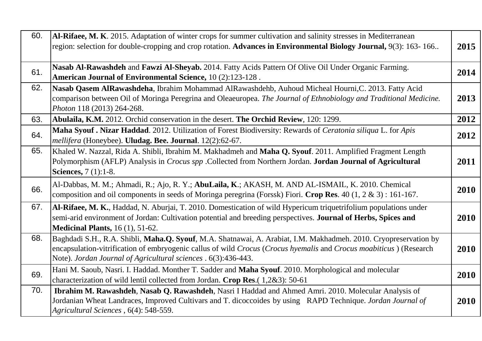| 60. | Al-Rifaee, M. K. 2015. Adaptation of winter crops for summer cultivation and salinity stresses in Mediterranean<br>region: selection for double-cropping and crop rotation. Advances in Environmental Biology Journal, 9(3): 163-166                                                                     | 2015 |
|-----|----------------------------------------------------------------------------------------------------------------------------------------------------------------------------------------------------------------------------------------------------------------------------------------------------------|------|
| 61. | Nasab Al-Rawashdeh and Fawzi Al-Sheyab. 2014. Fatty Acids Pattern Of Olive Oil Under Organic Farming.<br><b>American Journal of Environmental Science, 10 (2):123-128.</b>                                                                                                                               | 2014 |
| 62. | Nasab Qasem AlRawashdeha, Ibrahim Mohammad AlRawashdehb, Auhoud Micheal Hourni, C. 2013. Fatty Acid<br>comparison between Oil of Moringa Peregrina and Oleaeuropea. The Journal of Ethnobiology and Traditional Medicine.<br>Photon 118 (2013) 264-268.                                                  | 2013 |
| 63. | Abulaila, K.M. 2012. Orchid conservation in the desert. The Orchid Review, 120: 1299.                                                                                                                                                                                                                    | 2012 |
| 64. | Maha Syouf. Nizar Haddad. 2012. Utilization of Forest Biodiversity: Rewards of Ceratonia siliqua L. for Apis<br>mellifera (Honeybee). Uludag. Bee. Journal. 12(2):62-67.                                                                                                                                 | 2012 |
| 65. | Khaled W. Nazzal, Rida A. Shibli, Ibrahim M. Makhadmeh and Maha Q. Syouf. 2011. Amplified Fragment Length<br>Polymorphism (AFLP) Analysis in Crocus spp .Collected from Northern Jordan. Jordan Journal of Agricultural<br><b>Sciences</b> , 7 (1):1-8.                                                  | 2011 |
| 66. | Al-Dabbas, M. M.; Ahmadi, R.; Ajo, R. Y.; AbuLaila, K.; AKASH, M. AND AL-ISMAIL, K. 2010. Chemical<br>composition and oil components in seeds of Moringa peregrina (Forssk) Fiori. Crop Res. 40 $(1, 2 \& 3)$ : 161-167.                                                                                 | 2010 |
| 67. | Al-Rifaee, M. K., Haddad, N. Aburjai, T. 2010. Domestication of wild Hypericum triquetrifolium populations under<br>semi-arid environment of Jordan: Cultivation potential and breeding perspectives. Journal of Herbs, Spices and<br><b>Medicinal Plants, 16 (1), 51-62.</b>                            | 2010 |
| 68. | Baghdadi S.H., R.A. Shibli, Maha.Q. Syouf, M.A. Shatnawai, A. Arabiat, I.M. Makhadmeh. 2010. Cryopreservation by<br>encapsulation-vitrification of embryogenic callus of wild Crocus (Crocus hyemalis and Crocus moabiticus) (Research<br>Note). Jordan Journal of Agricultural sciences . 6(3):436-443. | 2010 |
| 69. | Hani M. Saoub, Nasri. I. Haddad. Monther T. Sadder and Maha Syouf. 2010. Morphological and molecular<br>characterization of wild lentil collected from Jordan. Crop Res. (1,2&3): 50-61                                                                                                                  | 2010 |
| 70. | Ibrahim M. Rawashdeh, Nasab Q. Rawashdeh, Nasri I Haddad and Ahmed Amri. 2010. Molecular Analysis of<br>Jordanian Wheat Landraces, Improved Cultivars and T. dicoccoides by using RAPD Technique. Jordan Journal of<br>Agricultural Sciences, 6(4): 548-559.                                             | 2010 |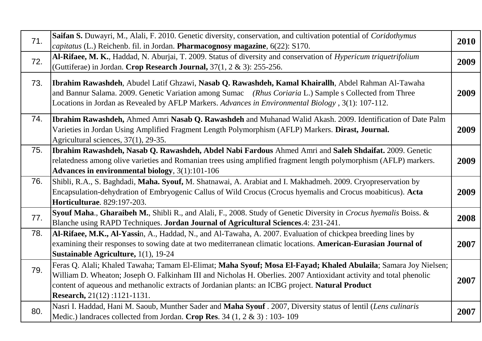| 71. | Saifan S. Duwayri, M., Alali, F. 2010. Genetic diversity, conservation, and cultivation potential of Coridothymus                                                                                                                                                                                                    | 2010 |
|-----|----------------------------------------------------------------------------------------------------------------------------------------------------------------------------------------------------------------------------------------------------------------------------------------------------------------------|------|
|     | <i>capitatus</i> (L.) Reichenb. fil. in Jordan. Pharmacognosy magazine, 6(22): S170.                                                                                                                                                                                                                                 |      |
| 72. | Al-Rifaee, M. K., Haddad, N. Aburjai, T. 2009. Status of diversity and conservation of <i>Hypericum triquetrifolium</i>                                                                                                                                                                                              | 2009 |
|     | (Guttiferae) in Jordan. Crop Research Journal, 37(1, 2 & 3): 255-256.                                                                                                                                                                                                                                                |      |
| 73. | Ibrahim Rawashdeh, Abudel Latif Ghzawi, Nasab Q. Rawashdeh, Kamal Khairallh, Abdel Rahman Al-Tawaha<br>and Bannur Salama. 2009. Genetic Variation among Sumac (Rhus Coriaria L.) Sample s Collected from Three<br>Locations in Jordan as Revealed by AFLP Markers. Advances in Environmental Biology, 3(1): 107-112. | 2009 |
| 74. | <b>Ibrahim Rawashdeh, Ahmed Amri Nasab Q. Rawashdeh</b> and Muhanad Walid Akash. 2009. Identification of Date Palm                                                                                                                                                                                                   |      |
|     | Varieties in Jordan Using Amplified Fragment Length Polymorphism (AFLP) Markers. Dirast, Journal.                                                                                                                                                                                                                    | 2009 |
|     | Agricultural sciences, 37(1), 29-35.                                                                                                                                                                                                                                                                                 |      |
| 75. | Ibrahim Rawashdeh, Nasab Q. Rawashdeh, Abdel Nabi Fardous Ahmed Amri and Saleh Shdaifat. 2009. Genetic                                                                                                                                                                                                               |      |
|     | relatedness among olive varieties and Romanian trees using amplified fragment length polymorphism (AFLP) markers.                                                                                                                                                                                                    | 2009 |
|     | Advances in environmental biology, 3(1):101-106                                                                                                                                                                                                                                                                      |      |
| 76. | Shibli, R.A., S. Baghdadi, Maha. Syouf, M. Shatnawai, A. Arabiat and I. Makhadmeh. 2009. Cryopreservation by                                                                                                                                                                                                         |      |
|     | Encapsulation-dehydration of Embryogenic Callus of Wild Crocus (Crocus hyemalis and Crocus moabiticus). Acta                                                                                                                                                                                                         | 2009 |
|     | Horticulturae. 829:197-203.                                                                                                                                                                                                                                                                                          |      |
|     | Syouf Maha., Gharaibeh M., Shibli R., and Alali, F., 2008. Study of Genetic Diversity in Crocus hyemalis Boiss. &                                                                                                                                                                                                    |      |
| 77. | Blanche using RAPD Techniques. Jordan Journal of Agricultural Sciences. 4: 231-241.                                                                                                                                                                                                                                  | 2008 |
| 78. | Al-Rifaee, M.K., Al-Yassin, A., Haddad, N., and Al-Tawaha, A. 2007. Evaluation of chickpea breeding lines by                                                                                                                                                                                                         |      |
|     | examining their responses to sowing date at two mediterranean climatic locations. American-Eurasian Journal of                                                                                                                                                                                                       | 2007 |
|     | Sustainable Agriculture, 1(1), 19-24                                                                                                                                                                                                                                                                                 |      |
|     | Feras Q. Alali; Khaled Tawaha; Tamam El-Elimat; Maha Syouf; Mosa El-Fayad; Khaled Abulaila; Samara Joy Nielsen;                                                                                                                                                                                                      |      |
| 79. | William D. Wheaton; Joseph O. Falkinham III and Nicholas H. Oberlies. 2007 Antioxidant activity and total phenolic                                                                                                                                                                                                   |      |
|     | content of aqueous and methanolic extracts of Jordanian plants: an ICBG project. Natural Product                                                                                                                                                                                                                     | 2007 |
|     | <b>Research, 21(12):1121-1131.</b>                                                                                                                                                                                                                                                                                   |      |
|     | Nasri I. Haddad, Hani M. Saoub, Munther Sader and Maha Syouf . 2007, Diversity status of lentil (Lens culinaris                                                                                                                                                                                                      |      |
| 80. | Medic.) landraces collected from Jordan. Crop Res. 34 (1, 2 & 3) : 103-109                                                                                                                                                                                                                                           | 2007 |
|     |                                                                                                                                                                                                                                                                                                                      |      |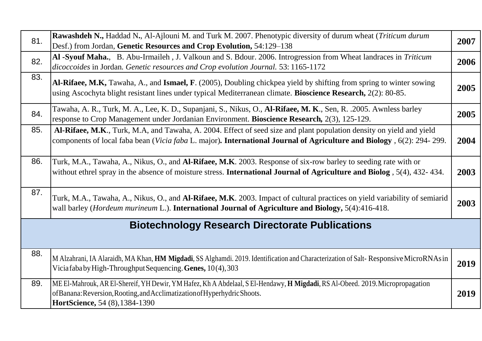| 81. | <b>Rawashdeh N., Haddad N., Al-Ajlouni M. and Turk M. 2007. Phenotypic diversity of durum wheat (Triticum durum</b><br>Desf.) from Jordan, Genetic Resources and Crop Evolution, 54:129-138                                                   | 2007 |
|-----|-----------------------------------------------------------------------------------------------------------------------------------------------------------------------------------------------------------------------------------------------|------|
| 82. | Al -Syouf Maha., B. Abu-Irmaileh, J. Valkoun and S. Bdour. 2006. Introgression from Wheat landraces in Triticum<br>dicoccoides in Jordan. Genetic resources and Crop evolution Journal. 53: 1165-1172                                         | 2006 |
| 83. | Al-Rifaee, M.K, Tawaha, A., and Ismael, F. (2005), Doubling chickpea yield by shifting from spring to winter sowing<br>using Ascochyta blight resistant lines under typical Mediterranean climate. Bioscience Research, 2(2): 80-85.          | 2005 |
| 84. | Tawaha, A. R., Turk, M. A., Lee, K. D., Supanjani, S., Nikus, O., Al-Rifaee, M. K., Sen, R. .2005. Awnless barley<br>response to Crop Management under Jordanian Environment. Bioscience Research, 2(3), 125-129.                             | 2005 |
| 85. | Al-Rifaee, M.K., Turk, M.A, and Tawaha, A. 2004. Effect of seed size and plant population density on yield and yield<br>components of local faba bean (Vicia faba L. major). International Journal of Agriculture and Biology, 6(2): 294-299. | 2004 |
| 86. | Turk, M.A., Tawaha, A., Nikus, O., and Al-Rifaee, M.K. 2003. Response of six-row barley to seeding rate with or<br>without ethrel spray in the absence of moisture stress. International Journal of Agriculture and Biolog, 5(4), 432-434.    | 2003 |
| 87. | Turk, M.A., Tawaha, A., Nikus, O., and Al-Rifaee, M.K. 2003. Impact of cultural practices on yield variability of semiarid<br>wall barley (Hordeum murineum L.). International Journal of Agriculture and Biology, 5(4):416-418.              | 2003 |
|     | <b>Biotechnology Research Directorate Publications</b>                                                                                                                                                                                        |      |
| 88. | M Alzahrani, IA Alaraidh, MA Khan, HM Migdadi, SS Alghamdi. 2019. Identification and Characterization of Salt-Responsive MicroRNAsin<br>Viciafaba by High-Throughput Sequencing. Genes, 10(4), 303                                            | 2019 |
| 89. | ME El-Mahrouk, AR El-Shereif, YH Dewir, YM Hafez, Kh A Abdelaal, S El-Hendawy, H Migdadi, RS Al-Obeed. 2019. Micropropagation<br>of Banana: Reversion, Rooting, and Acclimatization of Hyperhydric Shoots.<br>HortScience, 54 (8), 1384-1390  | 2019 |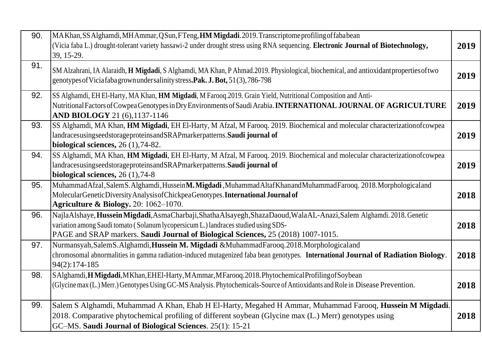| 90. | MAKhan, SS Alghamdi, MH Ammar, Q Sun, F Teng, HM Migdadi. 2019. Transcriptome profiling of fababean<br>(Vicia faba L.) drought-tolerant variety hassawi-2 under drought stress using RNA sequencing. Electronic Journal of Biotechnology,<br>39, 15-29.                                          | 2019 |
|-----|--------------------------------------------------------------------------------------------------------------------------------------------------------------------------------------------------------------------------------------------------------------------------------------------------|------|
| 91. | SM Alzahrani, IA Alaraidh, H Migdadi, S Alghamdi, MA Khan, P Ahmad.2019. Physiological, biochemical, and antioxidant properties of two<br>genotypes of Vicia faba grown under salinity stress. Pak. J. Bot, 51(3), 786-798                                                                       | 2019 |
| 92. | SS Alghamdi, EH El-Harty, MA Khan, HM Migdadi, M Farooq.2019. Grain Yield, Nutritional Composition and Anti-<br>Nutritional Factors of Cowpea Genotypes in Dry Environments of Saudi Arabia. INTERNATIONAL JOURNAL OF AGRICULTURE<br><b>AND BIOLOGY</b> 21 (6), 1137-1146                        | 2019 |
| 93. | SS Alghamdi, MA Khan, HM Migdadi, EH El-Harty, M Afzal, M Farooq. 2019. Biochemical and molecular characterizationofcowpea<br>landracesusingseedstorageproteinsandSRAPmarkerpatterns.Saudi journal of<br>biological sciences, 26 (1), 74-82.                                                     | 2019 |
| 94. | SS Alghamdi, MA Khan, HM Migdadi, EH El-Harty, M Afzal, M Farooq. 2019. Biochemical and molecular characterizationofcowpea<br>landracesusingseedstorageproteinsandSRAPmarkerpatterns.Saudi journal of<br>biological sciences, $26(1)$ , 74-8                                                     | 2019 |
| 95. | MuhammadAfzal, SalemS. Alghamdi, HusseinM. Migdadi, MuhammadAltafKhanandMuhammadFarooq. 2018. Morphologicaland<br>Molecular Genetic Diversity Analysis of Chickpea Genotypes. International Journal of<br><b>Agriculture &amp; Biology.</b> 20: 1062-1070.                                       | 2018 |
| 96. | NajlaAlshaye, Hussein Migdadi, AsmaCharbaji, ShathaAlsayegh, ShazaDaoud, WalaAL-Anazi, Salem Alghamdi. 2018. Genetic<br>variation among Saudi tomato (Solanum lycopersicum L.) landraces studied using SDS-<br>PAGE and SRAP markers. Saudi Journal of Biological Sciences, 25 (2018) 1007-1015. | 2018 |
| 97. | Nurmansyah, Salem S. Alghamdi, Hussein M. Migdadi & Muhammad Farooq. 2018. Morphological and<br>chromosomal abnormalities in gamma radiation-induced mutagenized faba bean genotypes. International Journal of Radiation Biology.<br>$94(2): 174-185$                                            | 2018 |
| 98. | SAlghamdi, H Migdadi, MKhan, EHEI-Harty, MAmmar, MFarooq. 2018. Phytochemical Profiling of Soybean<br>(Glycine max (L.) Merr.) Genotypes Using GC-MS Analysis. Phytochemicals-Source of Antioxidants and Role in Disease Prevention.                                                             | 2018 |
| 99. | Salem S Alghamdi, Muhammad A Khan, Ehab H El-Harty, Megahed H Ammar, Muhammad Farooq, Hussein M Migdadi.<br>2018. Comparative phytochemical profiling of different soybean (Glycine max (L.) Merr) genotypes using<br>GC-MS. Saudi Journal of Biological Sciences. 25(1): 15-21                  | 2018 |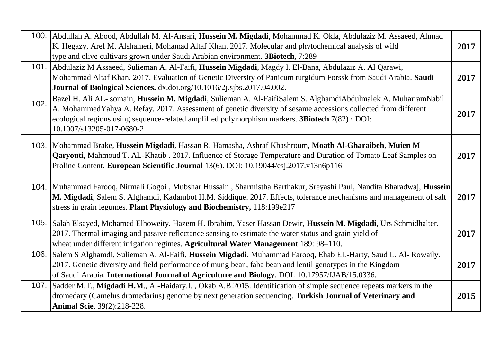|      | 100. Abdullah A. Abood, Abdullah M. Al-Ansari, Hussein M. Migdadi, Mohammad K. Okla, Abdulaziz M. Assaeed, Ahmad<br>K. Hegazy, Aref M. Alshameri, Mohamad Altaf Khan. 2017. Molecular and phytochemical analysis of wild<br>type and olive cultivars grown under Saudi Arabian environment. 3Biotech, 7:289                                                                   | 2017 |
|------|-------------------------------------------------------------------------------------------------------------------------------------------------------------------------------------------------------------------------------------------------------------------------------------------------------------------------------------------------------------------------------|------|
|      | 101. Abdulaziz M Assaeed, Sulieman A. Al-Faifi, Hussein Migdadi, Magdy I. El-Bana, Abdulaziz A. Al Qarawi,<br>Mohammad Altaf Khan. 2017. Evaluation of Genetic Diversity of Panicum turgidum Forssk from Saudi Arabia. Saudi<br>Journal of Biological Sciences. dx.doi.org/10.1016/2j.sjbs.2017.04.002.                                                                       | 2017 |
| 102. | Bazel H. Ali AL- somain, Hussein M. Migdadi, Sulieman A. Al-FaifiSalem S. AlghamdiAbdulmalek A. MuharramNabil<br>A. Mohammed Yahya A. Refay. 2017. Assessment of genetic diversity of sesame accessions collected from different<br>ecological regions using sequence-related amplified polymorphism markers. <b>3Biotech</b> $7(82) \cdot$ DOI:<br>10.1007/s13205-017-0680-2 | 2017 |
|      | 103. Mohammad Brake, Hussein Migdadi, Hassan R. Hamasha, Ashraf Khashroum, Moath Al-Gharaibeh, Muien M<br>Qaryouti, Mahmoud T. AL-Khatib. 2017. Influence of Storage Temperature and Duration of Tomato Leaf Samples on<br>Proline Content. European Scientific Journal 13(6). DOI: 10.19044/esj.2017.v13n6p116                                                               | 2017 |
|      | 104. Muhammad Farooq, Nirmali Gogoi, Mubshar Hussain, Sharmistha Barthakur, Sreyashi Paul, Nandita Bharadwaj, Hussein<br>M. Migdadi, Salem S. Alghamdi, Kadambot H.M. Siddique. 2017. Effects, tolerance mechanisms and management of salt<br>stress in grain legumes. Plant Physiology and Biochemistry, 118:199e217                                                         | 2017 |
|      | 105. Salah Elsayed, Mohamed Elhoweity, Hazem H. Ibrahim, Yaser Hassan Dewir, Hussein M. Migdadi, Urs Schmidhalter.<br>2017. Thermal imaging and passive reflectance sensing to estimate the water status and grain yield of<br>wheat under different irrigation regimes. Agricultural Water Management 189: 98-110.                                                           | 2017 |
| 106. | Salem S Alghamdi, Sulieman A. Al-Faifi, Hussein Migdadi, Muhammad Farooq, Ehab EL-Harty, Saud L. Al-Rowaily.<br>2017. Genetic diversity and field performance of mung bean, faba bean and lentil genotypes in the Kingdom<br>of Saudi Arabia. International Journal of Agriculture and Biology. DOI: 10.17957/IJAB/15.0336.                                                   | 2017 |
|      | 107. Sadder M.T., Migdadi H.M., Al-Haidary.I., Okab A.B.2015. Identification of simple sequence repeats markers in the<br>dromedary (Camelus dromedarius) genome by next generation sequencing. Turkish Journal of Veterinary and<br>Animal Scie. 39(2):218-228.                                                                                                              | 2015 |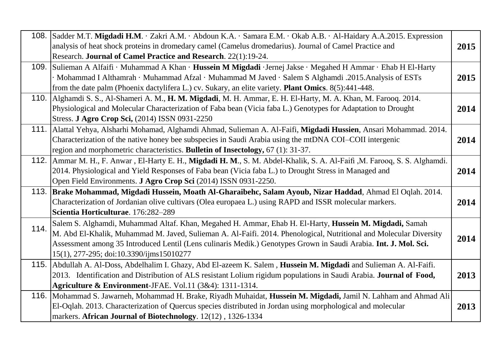| 108. | Sadder M.T. Migdadi H.M. · Zakri A.M. · Abdoun K.A. · Samara E.M. · Okab A.B. · Al-Haidary A.A.2015. Expression<br>analysis of heat shock proteins in dromedary camel (Camelus dromedarius). Journal of Camel Practice and<br>Research. Journal of Camel Practice and Research. 22(1):19-24.                                                                                                 | 2015 |
|------|----------------------------------------------------------------------------------------------------------------------------------------------------------------------------------------------------------------------------------------------------------------------------------------------------------------------------------------------------------------------------------------------|------|
| 109. | Sulieman A Alfaifi · Muhammad A Khan · Hussein M Migdadi · Jernej Jakse · Megahed H Ammar · Ehab H El-Harty<br>· Mohammad I Althamrah · Muhammad Afzal · Muhammad M Javed · Salem S Alghamdi .2015.Analysis of ESTs<br>from the date palm (Phoenix dactylifera L.) cv. Sukary, an elite variety. Plant Omics. 8(5):441-448.                                                                  | 2015 |
| 110. | Alghamdi S. S., Al-Shameri A. M., H. M. Migdadi, M. H. Ammar, E. H. El-Harty, M. A. Khan, M. Farooq. 2014.<br>Physiological and Molecular Characterization of Faba bean (Vicia faba L.) Genotypes for Adaptation to Drought<br>Stress. J Agro Crop Sci, (2014) ISSN 0931-2250                                                                                                                | 2014 |
| 111. | Alattal Yehya, Alsharhi Mohamad, Alghamdi Ahmad, Sulieman A. Al-Faifi, Migdadi Hussien, Ansari Mohammad. 2014.<br>Characterization of the native honey bee subspecies in Saudi Arabia using the mtDNA COI-COII intergenic<br>region and morphometric characteristics. Bulletin of Insectology, 67 (1): 31-37.                                                                                | 2014 |
| 112. | Ammar M. H., F. Anwar, El-Harty E. H., Migdadi H. M., S. M. Abdel-Khalik, S. A. Al-Faifi, M. Farooq, S. S. Alghamdi.<br>2014. Physiological and Yield Responses of Faba bean (Vicia faba L.) to Drought Stress in Managed and<br>Open Field Environments. J Agro Crop Sci (2014) ISSN 0931-2250.                                                                                             | 2014 |
| 113. | Brake Mohammad, Migdadi Hussein, Moath Al-Gharaibehc, Salam Ayoub, Nizar Haddad, Ahmad El Oqlah. 2014.<br>Characterization of Jordanian olive cultivars (Olea europaea L.) using RAPD and ISSR molecular markers.<br>Scientia Horticulturae. 176:282-289                                                                                                                                     | 2014 |
| 114. | Salem S. Alghamdi, Muhammad Altaf. Khan, Megahed H. Ammar, Ehab H. El-Harty, Hussein M. Migdadi, Samah<br>M. Abd El-Khalik, Muhammad M. Javed, Sulieman A. Al-Faifi. 2014. Phenological, Nutritional and Molecular Diversity<br>Assessment among 35 Introduced Lentil (Lens culinaris Medik.) Genotypes Grown in Saudi Arabia. Int. J. Mol. Sci.<br>15(1), 277-295; doi:10.3390/ijms15010277 | 2014 |
| 115. | Abdullah A. Al-Doss, Abdelhalim I. Ghazy, Abd El-azeem K. Salem, Hussein M. Migdadi and Sulieman A. Al-Faifi.<br>2013. Identification and Distribution of ALS resistant Lolium rigidum populations in Saudi Arabia. Journal of Food,<br>Agriculture & Environment-JFAE. Vol.11 (3&4): 1311-1314.                                                                                             | 2013 |
|      | 116. Mohammad S. Jawarneh, Mohammad H. Brake, Riyadh Muhaidat, Hussein M. Migdadi, Jamil N. Lahham and Ahmad Ali<br>El-Oqlah. 2013. Characterization of Quercus species distributed in Jordan using morphological and molecular<br>markers. African Journal of Biotechnology. 12(12), 1326-1334                                                                                              | 2013 |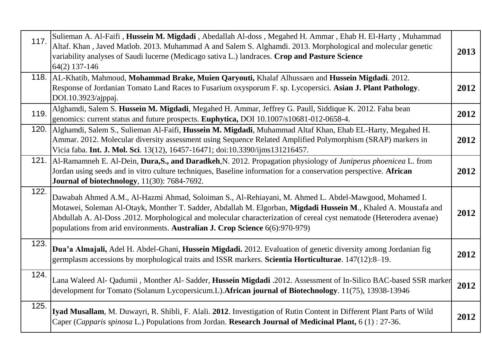| 117. | Sulieman A. Al-Faifi, Hussein M. Migdadi, Abedallah Al-doss, Megahed H. Ammar, Ehab H. El-Harty, Muhammad<br>Altaf. Khan, Javed Matlob. 2013. Muhammad A and Salem S. Alghamdi. 2013. Morphological and molecular genetic<br>variability analyses of Saudi lucerne (Medicago sativa L.) landraces. Crop and Pasture Science<br>64(2) 137-146                                                                                  | 2013 |
|------|-------------------------------------------------------------------------------------------------------------------------------------------------------------------------------------------------------------------------------------------------------------------------------------------------------------------------------------------------------------------------------------------------------------------------------|------|
|      | 118. AL-Khatib, Mahmoud, Mohammad Brake, Muien Qaryouti, Khalaf Alhussaen and Hussein Migdadi. 2012.<br>Response of Jordanian Tomato Land Races to Fusarium oxysporum F. sp. Lycopersici. Asian J. Plant Pathology.<br>DOI.10.3923/ajppaj.                                                                                                                                                                                    | 2012 |
| 119. | Alghamdi, Salem S. Hussein M. Migdadi, Megahed H. Ammar, Jeffrey G. Paull, Siddique K. 2012. Faba bean<br>genomics: current status and future prospects. <b>Euphytica</b> , DOI 10.1007/s10681-012-0658-4.                                                                                                                                                                                                                    | 2012 |
| 120. | Alghamdi, Salem S., Sulieman Al-Faifi, Hussein M. Migdadi, Muhammad Altaf Khan, Ehab EL-Harty, Megahed H.<br>Ammar. 2012. Molecular diversity assessment using Sequence Related Amplified Polymorphism (SRAP) markers in<br>Vicia faba. Int. J. Mol. Sci. 13(12), 16457-16471; doi:10.3390/ijms131216457.                                                                                                                     | 2012 |
|      | 121. Al-Ramamneh E. Al-Dein, Dura, S., and Daradkeh, N. 2012. Propagation physiology of Juniperus phoenicea L. from<br>Jordan using seeds and in vitro culture techniques, Baseline information for a conservation perspective. African<br><b>Journal of biotechnology</b> , 11(30): 7684-7692.                                                                                                                               | 2012 |
| 122. | Dawabah Ahmed A.M., Al-Hazmi Ahmad, Soloiman S., Al-Rehiayani, M. Ahmed L. Abdel-Mawgood, Mohamed I.<br>Motawei, Soleman Al-Otayk, Monther T. Sadder, Abdallah M. Elgorban, Migdadi Hussein M., Khaled A. Moustafa and<br>Abdullah A. Al-Doss .2012. Morphological and molecular characterization of cereal cyst nematode (Heterodera avenae)<br>populations from arid environments. Australian J. Crop Science 6(6):970-979) | 2012 |
| 123. | Dua'a Almajali, Adel H. Abdel-Ghani, Hussein Migdadi. 2012. Evaluation of genetic diversity among Jordanian fig<br>germplasm accessions by morphological traits and ISSR markers. Scientia Horticulturae. 147(12):8-19.                                                                                                                                                                                                       | 2012 |
| 124. | Lana Waleed Al- Qadumii, Monther Al- Sadder, Hussein Migdadi .2012. Assessment of In-Silico BAC-based SSR marker<br>development for Tomato (Solanum Lycopersicum.L). African journal of Biotechnology. 11(75), 13938-13946                                                                                                                                                                                                    | 2012 |
| 125. | Iyad Musallam, M. Duwayri, R. Shibli, F. Alali. 2012. Investigation of Rutin Content in Different Plant Parts of Wild<br>Caper (Capparis spinosa L.) Populations from Jordan. Research Journal of Medicinal Plant, 6 (1): 27-36.                                                                                                                                                                                              | 2012 |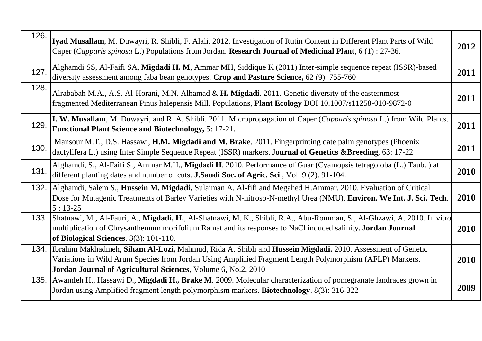| 126. | Iyad Musallam, M. Duwayri, R. Shibli, F. Alali. 2012. Investigation of Rutin Content in Different Plant Parts of Wild<br>Caper ( <i>Capparis spinosa</i> L.) Populations from Jordan. Research Journal of Medicinal Plant, $6(1)$ : 27-36.                                                  | 2012        |
|------|---------------------------------------------------------------------------------------------------------------------------------------------------------------------------------------------------------------------------------------------------------------------------------------------|-------------|
| 127. | Alghamdi SS, Al-Faifi SA, Migdadi H. M, Ammar MH, Siddique K (2011) Inter-simple sequence repeat (ISSR)-based<br>diversity assessment among faba bean genotypes. Crop and Pasture Science, 62 (9): 755-760                                                                                  | 2011        |
| 128. | Alrababah M.A., A.S. Al-Horani, M.N. Alhamad & H. Migdadi. 2011. Genetic diversity of the easternmost<br>fragmented Mediterranean Pinus halepensis Mill. Populations, Plant Ecology DOI 10.1007/s11258-010-9872-0                                                                           | 2011        |
| 129. | I. W. Musallam, M. Duwayri, and R. A. Shibli. 2011. Micropropagation of Caper (Capparis spinosa L.) from Wild Plants.<br><b>Functional Plant Science and Biotechnology, 5: 17-21.</b>                                                                                                       | 2011        |
| 130. | Mansour M.T., D.S. Hassawi, H.M. Migdadi and M. Brake. 2011. Fingerprinting date palm genotypes (Phoenix<br>dactylifera L.) using Inter Simple Sequence Repeat (ISSR) markers. Journal of Genetics & Breeding, 63: 17-22                                                                    | 2011        |
| 131. | Alghamdi, S., Al-Faifi S., Ammar M.H., Migdadi H. 2010. Performance of Guar (Cyamopsis tetragoloba (L.) Taub.) at<br>different planting dates and number of cuts. <b>J.Saudi Soc. of Agric. Sci.</b> , Vol. 9 (2). 91-104.                                                                  | 2010        |
|      | 132. Alghamdi, Salem S., Hussein M. Migdadi, Sulaiman A. Al-fifi and Megahed H.Ammar. 2010. Evaluation of Critical<br>Dose for Mutagenic Treatments of Barley Varieties with N-nitroso-N-methyl Urea (NMU). Environ. We Int. J. Sci. Tech.<br>$5:13-25$                                     | 2010        |
|      | 133. Shatnawi, M., Al-Fauri, A., Migdadi, H., Al-Shatnawi, M. K., Shibli, R.A., Abu-Romman, S., Al-Ghzawi, A. 2010. In vitro<br>multiplication of Chrysanthemum morifolium Ramat and its responses to NaCl induced salinity. Jordan Journal<br>of Biological Sciences. 3(3): 101-110.       | 2010        |
|      | 134. Ibrahim Makhadmeh, Siham Al-Lozi, Mahmud, Rida A. Shibli and Hussein Migdadi. 2010. Assessment of Genetic<br>Variations in Wild Arum Species from Jordan Using Amplified Fragment Length Polymorphism (AFLP) Markers.<br>Jordan Journal of Agricultural Sciences, Volume 6, No.2, 2010 | <b>2010</b> |
|      | 135. Awamleh H., Hassawi D., Migdadi H., Brake M. 2009. Molecular characterization of pomegranate landraces grown in<br>Jordan using Amplified fragment length polymorphism markers. Biotechnology. 8(3): 316-322                                                                           | 2009        |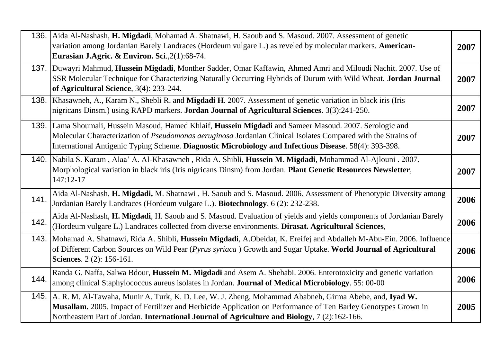|      | 136. Aida Al-Nashash, H. Migdadi, Mohamad A. Shatnawi, H. Saoub and S. Masoud. 2007. Assessment of genetic<br>variation among Jordanian Barely Landraces (Hordeum vulgare L.) as reveled by molecular markers. American-<br>Eurasian J.Agric. & Environ. Sci., 2(1):68-74.                                                          | 2007 |
|------|-------------------------------------------------------------------------------------------------------------------------------------------------------------------------------------------------------------------------------------------------------------------------------------------------------------------------------------|------|
|      | 137. Duwayri Mahmud, Hussein Migdadi, Monther Sadder, Omar Kaffawin, Ahmed Amri and Miloudi Nachit. 2007. Use of<br>SSR Molecular Technique for Characterizing Naturally Occurring Hybrids of Durum with Wild Wheat. Jordan Journal<br>of Agricultural Science, 3(4): 233-244.                                                      | 2007 |
|      | 138. Khasawneh, A., Karam N., Shebli R. and Migdadi H. 2007. Assessment of genetic variation in black iris (Iris<br>nigricans Dinsm.) using RAPD markers. Jordan Journal of Agricultural Sciences. 3(3):241-250.                                                                                                                    | 2007 |
|      | 139. Lama Shoumali, Hussein Masoud, Hamed Khlaif, Hussein Migdadi and Sameer Masoud. 2007. Serologic and<br>Molecular Characterization of Pseudomonas aeruginosa Jordanian Clinical Isolates Compared with the Strains of<br>International Antigenic Typing Scheme. Diagnostic Microbiology and Infectious Disease. 58(4): 393-398. | 2007 |
|      | 140.   Nabila S. Karam, Alaa' A. Al-Khasawneh, Rida A. Shibli, Hussein M. Migdadi, Mohammad Al-Ajlouni. 2007.<br>Morphological variation in black iris (Iris nigricans Dinsm) from Jordan. Plant Genetic Resources Newsletter,<br>147:12-17                                                                                         | 2007 |
| 141. | Aida Al-Nashash, H. Migdadi, M. Shatnawi, H. Saoub and S. Masoud. 2006. Assessment of Phenotypic Diversity among<br>Jordanian Barely Landraces (Hordeum vulgare L.). Biotechnology. 6 (2): 232-238.                                                                                                                                 | 2006 |
| 142. | Aida Al-Nashash, H. Migdadi, H. Saoub and S. Masoud. Evaluation of yields and yields components of Jordanian Barely<br>(Hordeum vulgare L.) Landraces collected from diverse environments. Dirasat. Agricultural Sciences,                                                                                                          | 2006 |
| 143. | Mohamad A. Shatnawi, Rida A. Shibli, Hussein Migdadi, A.Obeidat, K. Ereifej and Abdalleh M-Abu-Ein. 2006. Influence<br>of Different Carbon Sources on Wild Pear (Pyrus syriaca) Growth and Sugar Uptake. World Journal of Agricultural<br>Sciences. 2 (2): 156-161.                                                                 | 2006 |
| 144. | Randa G. Naffa, Salwa Bdour, Hussein M. Migdadi and Asem A. Shehabi. 2006. Enterotoxicity and genetic variation<br>among clinical Staphylococcus aureus isolates in Jordan. Journal of Medical Microbiology. 55: 00-00                                                                                                              | 2006 |
|      | 145. A. R. M. Al-Tawaha, Munir A. Turk, K. D. Lee, W. J. Zheng, Mohammad Ababneh, Girma Abebe, and, Iyad W.<br>Musallam. 2005. Impact of Fertilizer and Herbicide Application on Performance of Ten Barley Genotypes Grown in<br>Northeastern Part of Jordan. International Journal of Agriculture and Biology, 7 (2):162-166.      | 2005 |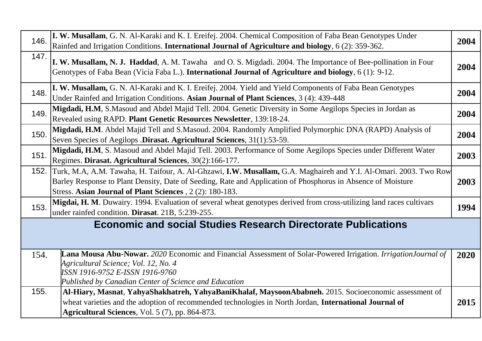| 146. | I. W. Musallam, G. N. Al-Karaki and K. I. Ereifej. 2004. Chemical Composition of Faba Bean Genotypes Under<br>Rainfed and Irrigation Conditions. International Journal of Agriculture and biology, 6 (2): 359-362.                                                                                | 2004 |
|------|---------------------------------------------------------------------------------------------------------------------------------------------------------------------------------------------------------------------------------------------------------------------------------------------------|------|
| 147. | I. W. Musallam, N. J. Haddad, A. M. Tawaha and O. S. Migdadi. 2004. The Importance of Bee-pollination in Four<br>Genotypes of Faba Bean (Vicia Faba L.). International Journal of Agriculture and biology, 6 (1): 9-12.                                                                           | 2004 |
| 148. | I. W. Musallam, G. N. Al-Karaki and K. I. Ereifej. 2004. Yield and Yield Components of Faba Bean Genotypes<br>Under Rainfed and Irrigation Conditions. Asian Journal of Plant Sciences, 3 (4): 439-448                                                                                            | 2004 |
| 149. | Migdadi, H.M, S.Masoud and Abdel Majid Tell. 2004. Genetic Diversity in Some Aegilops Species in Jordan as<br>Revealed using RAPD. Plant Genetic Resources Newsletter, 139:18-24.                                                                                                                 | 2004 |
| 150. | Migdadi, H.M. Abdel Majid Tell and S.Masoud. 2004. Randomly Amplified Polymorphic DNA (RAPD) Analysis of<br>Seven Species of Aegilops .Dirasat. Agricultural Sciences, 31(1):53-59.                                                                                                               | 2004 |
| 151. | Migdadi, H.M, S. Masoud and Abdel Majid Tell. 2003. Performance of Some Aegilops Species under Different Water<br>Regimes. Dirasat. Agricultural Sciences, 30(2):166-177.                                                                                                                         | 2003 |
|      | 152. Turk, M.A, A.M. Tawaha, H. Taifour, A. Al-Ghzawi, I.W. Musallam, G.A. Maghaireh and Y.I. Al-Omari. 2003. Two Row<br>Barley Response to Plant Density, Date of Seeding, Rate and Application of Phosphorus in Absence of Moisture<br>Stress. Asian Journal of Plant Sciences, 2 (2): 180-183. | 2003 |
| 153. | Migdai, H. M. Duwairy. 1994. Evaluation of several wheat genotypes derived from cross-utilizing land races cultivars<br>under rainfed condition. Dirasat. 21B, 5:239-255.                                                                                                                         | 1994 |
|      | <b>Economic and social Studies Research Directorate Publications</b>                                                                                                                                                                                                                              |      |
| 154. | Lana Mousa Abu-Nowar. 2020 Economic and Financial Assessment of Solar-Powered Irrigation. IrrigationJournal of<br>Agricultural Science; Vol. 12, No. 4<br>ISSN 1916-9752 E-ISSN 1916-9760<br>Published by Canadian Center of Science and Education                                                | 2020 |
| 155. | Al-Hiary, Masnat, YahyaShakhatreh, YahyaBaniKhalaf, MaysoonAbabneh. 2015. Socioeconomic assessment of<br>wheat varieties and the adoption of recommended technologies in North Jordan, International Journal of<br>Agricultural Sciences, Vol. 5 (7), pp. 864-873.                                | 2015 |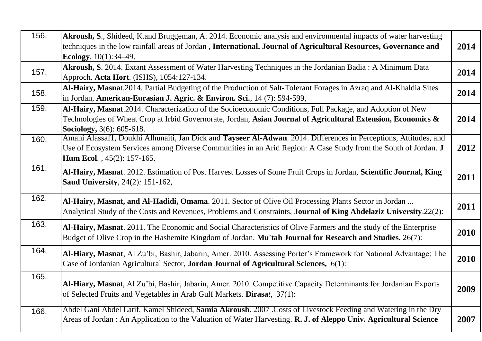| 156. | Akroush, S., Shideed, K.and Bruggeman, A. 2014. Economic analysis and environmental impacts of water harvesting<br>techniques in the low rainfall areas of Jordan, International. Journal of Agricultural Resources, Governance and<br>Ecology, $10(1):34-49$ .    | 2014 |
|------|--------------------------------------------------------------------------------------------------------------------------------------------------------------------------------------------------------------------------------------------------------------------|------|
| 157. | Akroush, S. 2014. Extant Assessment of Water Harvesting Techniques in the Jordanian Badia: A Minimum Data<br>Approch. Acta Hort. (ISHS), 1054:127-134.                                                                                                             | 2014 |
| 158. | Al-Hairy, Masnat. 2014. Partial Budgeting of the Production of Salt-Tolerant Forages in Azraq and Al-Khaldia Sites<br>in Jordan, American-Eurasian J. Agric. & Environ. Sci., 14 (7): 594-599,                                                                     | 2014 |
| 159. | Al-Hairy, Masnat.2014. Characterization of the Socioeconomic Conditions, Full Package, and Adoption of New<br>Technologies of Wheat Crop at Irbid Governorate, Jordan, Asian Journal of Agricultural Extension, Economics &<br>Sociology, 3(6): 605-618.           | 2014 |
| 160. | Amani Alassaf1, Doukhi Alhunaiti, Jan Dick and Tayseer Al-Adwan. 2014. Differences in Perceptions, Attitudes, and<br>Use of Ecosystem Services among Diverse Communities in an Arid Region: A Case Study from the South of Jordan. J<br>Hum Ecol., 45(2): 157-165. | 2012 |
| 161. | Al-Hairy, Masnat. 2012. Estimation of Post Harvest Losses of Some Fruit Crops in Jordan, Scientific Journal, King<br><b>Saud University</b> , 24(2): 151-162,                                                                                                      | 2011 |
| 162. | Al-Hairy, Masnat, and Al-Hadidi, Omama. 2011. Sector of Olive Oil Processing Plants Sector in Jordan<br>Analytical Study of the Costs and Revenues, Problems and Constraints, Journal of King Abdelaziz University.22(2):                                          | 2011 |
| 163. | Al-Hairy, Masnat. 2011. The Economic and Social Characteristics of Olive Farmers and the study of the Enterprise<br>Budget of Olive Crop in the Hashemite Kingdom of Jordan. Mu'tah Journal for Research and Studies. 26(7):                                       | 2010 |
| 164. | Al-Hiary, Masnat, Al Zu'bi, Bashir, Jabarin, Amer. 2010. Assessing Porter's Framework for National Advantage: The<br>Case of Jordanian Agricultural Sector, Jordan Journal of Agricultural Sciences, 6(1):                                                         | 2010 |
| 165. | Al-Hiary, Masnat, Al Zu'bi, Bashir, Jabarin, Amer. 2010. Competitive Capacity Determinants for Jordanian Exports<br>of Selected Fruits and Vegetables in Arab Gulf Markets. Dirasat, 37(1):                                                                        | 2009 |
| 166. | Abdel Gani Abdel Latif, Kamel Shideed, Samia Akroush. 2007 .Costs of Livestock Feeding and Watering in the Dry<br>Areas of Jordan: An Application to the Valuation of Water Harvesting. R. J. of Aleppo Univ. Agricultural Science                                 | 2007 |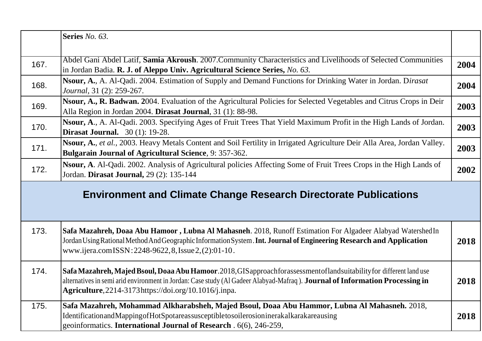|      | Series No. 63.                                                                                                                                                                                                                                                                                                      |      |
|------|---------------------------------------------------------------------------------------------------------------------------------------------------------------------------------------------------------------------------------------------------------------------------------------------------------------------|------|
| 167. | Abdel Gani Abdel Latif, Samia Akroush. 2007. Community Characteristics and Livelihoods of Selected Communities<br>in Jordan Badia. R. J. of Aleppo Univ. Agricultural Science Series, No. 63.                                                                                                                       | 2004 |
| 168. | Nsour, A., A. Al-Qadi. 2004. Estimation of Supply and Demand Functions for Drinking Water in Jordan. Dirasat<br>Journal, 31 (2): 259-267.                                                                                                                                                                           | 2004 |
| 169. | Nsour, A., R. Badwan. 2004. Evaluation of the Agricultural Policies for Selected Vegetables and Citrus Crops in Deir<br>Alla Region in Jordan 2004. Dirasat Journal, 31 (1): 88-98.                                                                                                                                 | 2003 |
| 170. | Nsour, A., A. Al-Qadi. 2003. Specifying Ages of Fruit Trees That Yield Maximum Profit in the High Lands of Jordan.<br><b>Dirasat Journal.</b> 30 (1): 19-28.                                                                                                                                                        | 2003 |
| 171. | Nsour, A., et al., 2003. Heavy Metals Content and Soil Fertility in Irrigated Agriculture Deir Alla Area, Jordan Valley.<br><b>Bulgarain Journal of Agricultural Science</b> , 9: 357-362.                                                                                                                          | 2003 |
| 172. | Nsour, A. Al-Qadi. 2002. Analysis of Agricultural policies Affecting Some of Fruit Trees Crops in the High Lands of<br>Jordan. Dirasat Journal, 29 (2): 135-144                                                                                                                                                     | 2002 |
|      | <b>Environment and Climate Change Research Directorate Publications</b>                                                                                                                                                                                                                                             |      |
| 173. | Safa Mazahreh, Doaa Abu Hamoor, Lubna Al Mahasneh. 2018, Runoff Estimation For Algadeer Alabyad Watershed In<br>Jordan Using Rational Method And Geographic Information System. Int. Journal of Engineering Research and Application<br>www.ijera.comISSN:2248-9622, 8, Issue 2, (2):01-10.                         | 2018 |
| 174. | Safa Mazahreh, Majed Bsoul, Doaa Abu Hamoor. 2018, GIS approachforassessment of land suitability for different land use<br>alternatives in semi arid environment in Jordan: Case study (Al Gadeer Alabyad-Mafraq). Journal of Information Processing in<br>$Agriculture, 2214-3173 https://doi.org/10.1016/j.inpa.$ | 2018 |
| 175. | Safa Mazahreh, Mohammad Alkharabsheh, Majed Bsoul, Doaa Abu Hammor, Lubna Al Mahasneh. 2018,<br>IdentificationandMappingofHotSpotareassusceptibletosoilerosioninerakalkarakareausing<br>geoinformatics. International Journal of Research . 6(6), 246-259,                                                          | 2018 |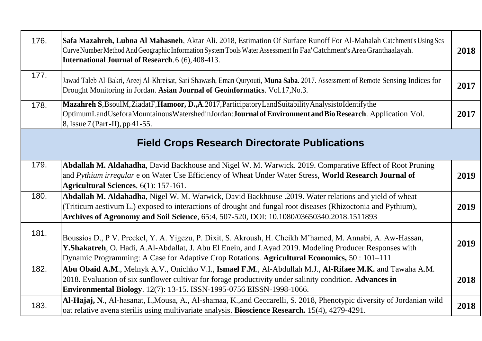| 176. | Safa Mazahreh, Lubna Al Mahasneh, Aktar Ali. 2018, Estimation Of Surface Runoff For Al-Mahalah Catchment's Using Scs<br>Curve Number Method And Geographic Information System Tools Water Assessment In Faa' Catchment's Area Granthaalayah.<br><b>International Journal of Research.</b> 6 (6), 408-413.               | 2018 |
|------|-------------------------------------------------------------------------------------------------------------------------------------------------------------------------------------------------------------------------------------------------------------------------------------------------------------------------|------|
| 177. | Jawad Taleb Al-Bakri, Areej Al-Khreisat, Sari Shawash, Eman Quryouti, Muna Saba. 2017. Assessment of Remote Sensing Indices for<br>Drought Monitoring in Jordan. Asian Journal of Geoinformatics. Vol.17, No.3.                                                                                                         | 2017 |
| 178. | Mazahreh S, BsoulM, ZiadatF, Hamoor, D., A.2017, Participatory LandSuitability Analysisto Identify the<br>OptimumLandUseforaMountainousWatershedinJordan:Journal of Environment and Bio Research. Application Vol.<br>8, Issue 7 (Part -II), pp 41-55.                                                                  | 2017 |
|      | <b>Field Crops Research Directorate Publications</b>                                                                                                                                                                                                                                                                    |      |
| 179. | Abdallah M. Aldahadha, David Backhouse and Nigel W. M. Warwick. 2019. Comparative Effect of Root Pruning<br>and Pythium irregular e on Water Use Efficiency of Wheat Under Water Stress, World Research Journal of<br>Agricultural Sciences, 6(1): 157-161.                                                             | 2019 |
| 180. | Abdallah M. Aldahadha, Nigel W. M. Warwick, David Backhouse .2019. Water relations and yield of wheat<br>(Triticum aestivum L.) exposed to interactions of drought and fungal root diseases (Rhizoctonia and Pythium),<br>Archives of Agronomy and Soil Science, 65:4, 507-520, DOI: 10.1080/03650340.2018.1511893      | 2019 |
| 181. | Boussios D., P V. Preckel, Y. A. Yigezu, P. Dixit, S. Akroush, H. Cheikh M'hamed, M. Annabi, A. Aw-Hassan,<br>Y. Shakatreh, O. Hadi, A.Al-Abdallat, J. Abu El Enein, and J. Ayad 2019. Modeling Producer Responses with<br>Dynamic Programming: A Case for Adaptive Crop Rotations. Agricultural Economics, 50: 101-111 | 2019 |
| 182. | Abu Obaid A.M., Melnyk A.V., Onichko V.I., Ismael F.M., Al-Abdullah M.J., Al-Rifaee M.K. and Tawaha A.M.<br>2018. Evaluation of six sunflower cultivar for forage productivity under salinity condition. Advances in<br>Environmental Biology. 12(7): 13-15. ISSN-1995-0756 EISSN-1998-1066.                            | 2018 |
| 183. | Al-Hajaj, N., Al-hasanat, I., Mousa, A., Al-shamaa, K., and Ceccarelli, S. 2018, Phenotypic diversity of Jordanian wild<br>oat relative avena sterilis using multivariate analysis. Bioscience Research. 15(4), 4279-4291.                                                                                              | 2018 |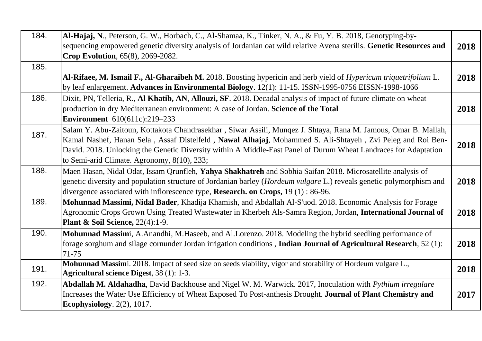| 184. | Al-Hajaj, N., Peterson, G. W., Horbach, C., Al-Shamaa, K., Tinker, N. A., & Fu, Y. B. 2018, Genotyping-by-<br>sequencing empowered genetic diversity analysis of Jordanian oat wild relative Avena sterilis. Genetic Resources and<br>Crop Evolution, 65(8), 2069-2082.                                                                                                                        | 2018 |
|------|------------------------------------------------------------------------------------------------------------------------------------------------------------------------------------------------------------------------------------------------------------------------------------------------------------------------------------------------------------------------------------------------|------|
| 185. | Al-Rifaee, M. Ismail F., Al-Gharaibeh M. 2018. Boosting hypericin and herb yield of Hypericum triquetrifolium L.<br>by leaf enlargement. Advances in Environmental Biology. 12(1): 11-15. ISSN-1995-0756 EISSN-1998-1066                                                                                                                                                                       | 2018 |
| 186. | Dixit, PN, Telleria, R., Al Khatib, AN, Allouzi, SF. 2018. Decadal analysis of impact of future climate on wheat<br>production in dry Mediterranean environment: A case of Jordan. Science of the Total<br><b>Environment</b> 610(611c):219-233                                                                                                                                                | 2018 |
| 187. | Salam Y. Abu-Zaitoun, Kottakota Chandrasekhar, Siwar Assili, Munqez J. Shtaya, Rana M. Jamous, Omar B. Mallah,<br>Kamal Nashef, Hanan Sela, Assaf Distelfeld, Nawal Alhajaj, Mohammed S. Ali-Shtayeh, Zvi Peleg and Roi Ben-<br>David. 2018. Unlocking the Genetic Diversity within A Middle-East Panel of Durum Wheat Landraces for Adaptation<br>to Semi-arid Climate. Agronomy, 8(10), 233; | 2018 |
| 188. | Maen Hasan, Nidal Odat, Issam Qrunfleh, Yahya Shakhatreh and Sobhia Saifan 2018. Microsatellite analysis of<br>genetic diversity and population structure of Jordanian barley (Hordeum vulgare L.) reveals genetic polymorphism and<br>divergence associated with inflorescence type, Research. on Crops, 19(1): 86-96.                                                                        | 2018 |
| 189. | Mohunnad Massimi, Nidal Bader, Khadija Khamish, and Abdallah Al-S'uod. 2018. Economic Analysis for Forage<br>Agronomic Crops Grown Using Treated Wastewater in Kherbeh Als-Samra Region, Jordan, International Journal of<br><b>Plant &amp; Soil Science, 22(4):1-9.</b>                                                                                                                       | 2018 |
| 190. | Mohunnad Massimi, A.Anandhi, M.Haseeb, and Al.Lorenzo. 2018. Modeling the hybrid seedling performance of<br>forage sorghum and silage cornunder Jordan irrigation conditions, Indian Journal of Agricultural Research, 52 (1):<br>$71 - 75$                                                                                                                                                    | 2018 |
| 191. | Mohunnad Massimi. 2018. Impact of seed size on seeds viability, vigor and storability of Hordeum vulgare L.,<br><b>Agricultural science Digest, 38 (1): 1-3.</b>                                                                                                                                                                                                                               | 2018 |
| 192. | Abdallah M. Aldahadha, David Backhouse and Nigel W. M. Warwick. 2017, Inoculation with Pythium irregulare<br>Increases the Water Use Efficiency of Wheat Exposed To Post-anthesis Drought. Journal of Plant Chemistry and<br><b>Ecophysiology.</b> 2(2), 1017.                                                                                                                                 | 2017 |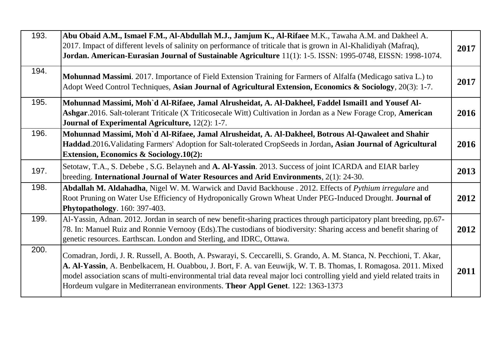| 193. | Abu Obaid A.M., Ismael F.M., Al-Abdullah M.J., Jamjum K., Al-Rifaee M.K., Tawaha A.M. and Dakheel A.<br>2017. Impact of different levels of salinity on performance of triticale that is grown in Al-Khalidiyah (Mafraq),<br>Jordan. American-Eurasian Journal of Sustainable Agriculture 11(1): 1-5. ISSN: 1995-0748, EISSN: 1998-1074.                                                                                                                 | 2017 |
|------|----------------------------------------------------------------------------------------------------------------------------------------------------------------------------------------------------------------------------------------------------------------------------------------------------------------------------------------------------------------------------------------------------------------------------------------------------------|------|
| 194. | Mohunnad Massimi. 2017. Importance of Field Extension Training for Farmers of Alfalfa (Medicago sativa L.) to<br>Adopt Weed Control Techniques, Asian Journal of Agricultural Extension, Economics & Sociology, 20(3): 1-7.                                                                                                                                                                                                                              | 2017 |
| 195. | Mohunnad Massimi, Moh`d Al-Rifaee, Jamal Alrusheidat, A. Al-Dakheel, Faddel Ismail1 and Yousef Al-<br>Ashgar.2016. Salt-tolerant Triticale (X Triticosecale Witt) Cultivation in Jordan as a New Forage Crop, American<br><b>Journal of Experimental Agriculture, 12(2): 1-7.</b>                                                                                                                                                                        | 2016 |
| 196. | Mohunnad Massimi, Moh`d Al-Rifaee, Jamal Alrusheidat, A. Al-Dakheel, Botrous Al-Qawaleet and Shahir<br>Haddad.2016. Validating Farmers' Adoption for Salt-tolerated CropSeeds in Jordan, Asian Journal of Agricultural<br><b>Extension, Economics &amp; Sociology.10(2):</b>                                                                                                                                                                             | 2016 |
| 197. | Setotaw, T.A., S. Debebe, S.G. Belayneh and A. Al-Yassin. 2013. Success of joint ICARDA and EIAR barley<br>breeding. International Journal of Water Resources and Arid Environments, 2(1): 24-30.                                                                                                                                                                                                                                                        | 2013 |
| 198. | Abdallah M. Aldahadha, Nigel W. M. Warwick and David Backhouse . 2012. Effects of Pythium irregulare and<br>Root Pruning on Water Use Efficiency of Hydroponically Grown Wheat Under PEG-Induced Drought. Journal of<br>Phytopathology. 160: 397-403.                                                                                                                                                                                                    | 2012 |
| 199. | Al-Yassin, Adnan. 2012. Jordan in search of new benefit-sharing practices through participatory plant breeding, pp.67-<br>78. In: Manuel Ruiz and Ronnie Vernooy (Eds). The custodians of biodiversity: Sharing access and benefit sharing of<br>genetic resources. Earthscan. London and Sterling, and IDRC, Ottawa.                                                                                                                                    | 2012 |
| 200. | Comadran, Jordi, J. R. Russell, A. Booth, A. Pswarayi, S. Ceccarelli, S. Grando, A. M. Stanca, N. Pecchioni, T. Akar,<br>A. Al-Yassin, A. Benbelkacem, H. Ouabbou, J. Bort, F. A. van Eeuwijk, W. T. B. Thomas, I. Romagosa. 2011. Mixed<br>model association scans of multi-environmental trial data reveal major loci controlling yield and yield related traits in<br>Hordeum vulgare in Mediterranean environments. Theor Appl Genet. 122: 1363-1373 | 2011 |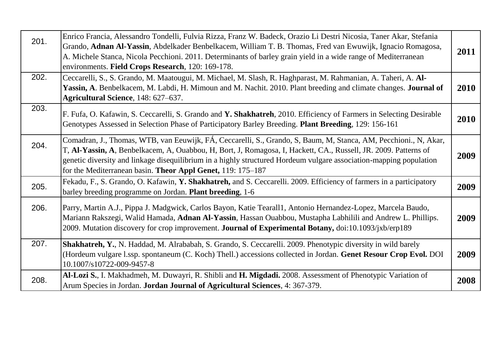| 201. | Enrico Francia, Alessandro Tondelli, Fulvia Rizza, Franz W. Badeck, Orazio Li Destri Nicosia, Taner Akar, Stefania<br>Grando, Adnan Al-Yassin, Abdelkader Benbelkacem, William T. B. Thomas, Fred van Ewuwijk, Ignacio Romagosa,<br>A. Michele Stanca, Nicola Pecchioni. 2011. Determinants of barley grain yield in a wide range of Mediterranean<br>environments. Field Crops Research, 120: 169-178.                  | 2011 |
|------|--------------------------------------------------------------------------------------------------------------------------------------------------------------------------------------------------------------------------------------------------------------------------------------------------------------------------------------------------------------------------------------------------------------------------|------|
| 202. | Ceccarelli, S., S. Grando, M. Maatougui, M. Michael, M. Slash, R. Haghparast, M. Rahmanian, A. Taheri, A. Al-<br>Yassin, A. Benbelkacem, M. Labdi, H. Mimoun and M. Nachit. 2010. Plant breeding and climate changes. Journal of<br>Agricultural Science, 148: 627-637.                                                                                                                                                  | 2010 |
| 203. | F. Fufa, O. Kafawin, S. Ceccarelli, S. Grando and Y. Shakhatreh, 2010. Efficiency of Farmers in Selecting Desirable<br>Genotypes Assessed in Selection Phase of Participatory Barley Breeding. Plant Breeding, 129: 156-161                                                                                                                                                                                              | 2010 |
| 204. | Comadran, J., Thomas, WTB, van Eeuwijk, FÁ, Ceccarelli, S., Grando, S. Baum, M. Stanca, AM, Pecchioni., N. Akar,<br>T, Al-Yassin, A, Benbelkacem, A, Ouabbou, H, Bort, J, Romagosa, I, Hackett, CA., Russell, JR. 2009. Patterns of<br>genetic diversity and linkage disequilibrium in a highly structured Hordeum vulgare association-mapping population<br>for the Mediterranean basin. Theor Appl Genet, 119: 175–187 | 2009 |
| 205. | Fekadu, F., S. Grando, O. Kafawin, Y. Shakhatreh, and S. Ceccarelli. 2009. Efficiency of farmers in a participatory<br>barley breeding programme on Jordan. Plant breeding, 1-6                                                                                                                                                                                                                                          | 2009 |
| 206. | Parry, Martin A.J., Pippa J. Madgwick, Carlos Bayon, Katie Tearall1, Antonio Hernandez-Lopez, Marcela Baudo,<br>Mariann Rakszegi, Walid Hamada, Adnan Al-Yassin, Hassan Ouabbou, Mustapha Labhilili and Andrew L. Phillips.<br>2009. Mutation discovery for crop improvement. Journal of Experimental Botany, doi:10.1093/jxb/erp189                                                                                     | 2009 |
| 207. | Shakhatreh, Y., N. Haddad, M. Alrababah, S. Grando, S. Ceccarelli. 2009. Phenotypic diversity in wild barely<br>(Hordeum vulgare l.ssp. spontaneum (C. Koch) Thell.) accessions collected in Jordan. Genet Resour Crop Evol. DOI<br>10.1007/s10722-009-9457-8                                                                                                                                                            | 2009 |
| 208. | Al-Lozi S., I. Makhadmeh, M. Duwayri, R. Shibli and H. Migdadi. 2008. Assessment of Phenotypic Variation of<br>Arum Species in Jordan. Jordan Journal of Agricultural Sciences, 4: 367-379.                                                                                                                                                                                                                              | 2008 |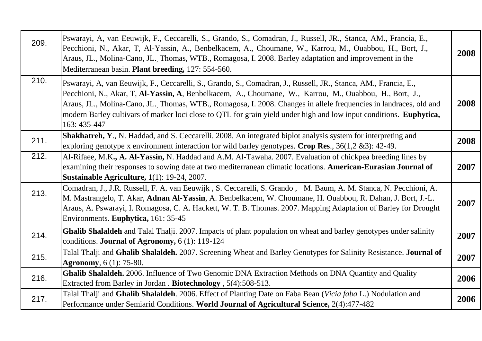| 209. | Pswarayi, A, van Eeuwijk, F., Ceccarelli, S., Grando, S., Comadran, J., Russell, JR., Stanca, AM., Francia, E.,<br>Pecchioni, N., Akar, T., Al-Yassin, A., Benbelkacem, A., Choumane, W., Karrou, M., Ouabbou, H., Bort, J.,<br>Araus, JL., Molina-Cano, JL. Thomas, WTB., Romagosa, I. 2008. Barley adaptation and improvement in the<br>Mediterranean basin. Plant breeding, 127: 554-560.                                                                                           | 2008 |
|------|----------------------------------------------------------------------------------------------------------------------------------------------------------------------------------------------------------------------------------------------------------------------------------------------------------------------------------------------------------------------------------------------------------------------------------------------------------------------------------------|------|
| 210. | Pswarayi, A, van Eeuwijk, F., Ceccarelli, S., Grando, S., Comadran, J., Russell, JR., Stanca, AM., Francia, E.,<br>Pecchioni, N., Akar, T. Al-Yassin, A. Benbelkacem, A., Choumane, W., Karrou, M., Ouabbou, H., Bort, J.,<br>Araus, JL., Molina-Cano, JL. Thomas, WTB., Romagosa, I. 2008. Changes in allele frequencies in landraces, old and<br>modern Barley cultivars of marker loci close to QTL for grain yield under high and low input conditions. Euphytica,<br>163: 435-447 | 2008 |
| 211. | Shakhatreh, Y., N. Haddad, and S. Ceccarelli. 2008. An integrated biplot analysis system for interpreting and<br>exploring genotype x environment interaction for wild barley genotypes. Crop Res., $36(1,2 \& 3)$ : 42-49.                                                                                                                                                                                                                                                            | 2008 |
| 212. | Al-Rifaee, M.K., A. Al-Yassin, N. Haddad and A.M. Al-Tawaha. 2007. Evaluation of chickpea breeding lines by<br>examining their responses to sowing date at two mediterranean climatic locations. American-Eurasian Journal of<br>Sustainable Agriculture, 1(1): 19-24, 2007.                                                                                                                                                                                                           | 2007 |
| 213. | Comadran, J., J.R. Russell, F. A. van Eeuwijk, S. Ceccarelli, S. Grando, M. Baum, A. M. Stanca, N. Pecchioni, A.<br>M. Mastrangelo, T. Akar, Adnan Al-Yassin, A. Benbelkacem, W. Choumane, H. Ouabbou, R. Dahan, J. Bort, J.-L.<br>Araus, A. Pswarayi, I. Romagosa, C. A. Hackett, W. T. B. Thomas. 2007. Mapping Adaptation of Barley for Drought<br>Environments. Euphytica, 161: 35-45                                                                                              | 2007 |
| 214. | Ghalib Shalaldeh and Talal Thalji. 2007. Impacts of plant population on wheat and barley genotypes under salinity<br>conditions. <b>Journal of Agronomy</b> , $6(1)$ : 119-124                                                                                                                                                                                                                                                                                                         | 2007 |
| 215. | Talal Thalji and Ghalib Shalaldeh. 2007. Screening Wheat and Barley Genotypes for Salinity Resistance. Journal of<br><b>Agronomy</b> , 6 (1): 75-80.                                                                                                                                                                                                                                                                                                                                   | 2007 |
| 216. | Ghalib Shalaldeh. 2006. Influence of Two Genomic DNA Extraction Methods on DNA Quantity and Quality<br>Extracted from Barley in Jordan . Biotechnology , 5(4):508-513.                                                                                                                                                                                                                                                                                                                 | 2006 |
| 217. | Talal Thalji and Ghalib Shalaldeh. 2006. Effect of Planting Date on Faba Bean (Vicia faba L.) Nodulation and<br>Performance under Semiarid Conditions. World Journal of Agricultural Science, 2(4):477-482                                                                                                                                                                                                                                                                             | 2006 |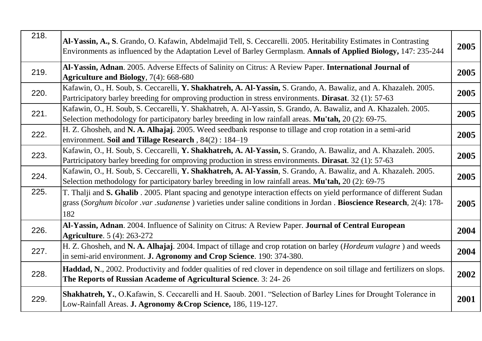| 218. | Al-Yassin, A., S. Grando, O. Kafawin, Abdelmajid Tell, S. Ceccarelli. 2005. Heritability Estimates in Contrasting<br>Environments as influenced by the Adaptation Level of Barley Germplasm. Annals of Applied Biology, 147: 235-244                  | 2005 |
|------|-------------------------------------------------------------------------------------------------------------------------------------------------------------------------------------------------------------------------------------------------------|------|
| 219. | Al-Yassin, Adnan. 2005. Adverse Effects of Salinity on Citrus: A Review Paper. International Journal of<br>Agriculture and Biology, 7(4): 668-680                                                                                                     | 2005 |
| 220. | Kafawin, O., H. Soub, S. Ceccarelli, Y. Shakhatreh, A. Al-Yassin, S. Grando, A. Bawaliz, and A. Khazaleh. 2005.<br>Partricipatory barley breeding for omproving production in stress environments. Dirasat. 32 (1): 57-63                             | 2005 |
| 221. | Kafawin, O., H. Soub, S. Ceccarelli, Y. Shakhatreh, A. Al-Yassin, S. Grando, A. Bawaliz, and A. Khazaleh. 2005.<br>Selection methodology for participatory barley breeding in low rainfall areas. Mu'tah, 20 (2): 69-75.                              | 2005 |
| 222. | H. Z. Ghosheh, and N. A. Alhajaj. 2005. Weed seedbank response to tillage and crop rotation in a semi-arid<br>environment. Soil and Tillage Research, 84(2): 184–19                                                                                   | 2005 |
| 223. | Kafawin, O., H. Soub, S. Ceccarelli, Y. Shakhatreh, A. Al-Yassin, S. Grando, A. Bawaliz, and A. Khazaleh. 2005.<br>Partricipatory barley breeding for omproving production in stress environments. Dirasat. 32 (1): 57-63                             | 2005 |
| 224. | Kafawin, O., H. Soub, S. Ceccarelli, Y. Shakhatreh, A. Al-Yassin, S. Grando, A. Bawaliz, and A. Khazaleh. 2005.<br>Selection methodology for participatory barley breeding in low rainfall areas. Mu'tah, 20 (2): 69-75                               | 2005 |
| 225. | T. Thalji and S. Ghalib. 2005. Plant spacing and genotype interaction effects on yield performance of different Sudan<br>grass (Sorghum bicolor .var .sudanense) varieties under saline conditions in Jordan . Bioscience Research, 2(4): 178-<br>182 | 2005 |
| 226. | Al-Yassin, Adnan. 2004. Influence of Salinity on Citrus: A Review Paper. Journal of Central European<br><b>Agriculture.</b> 5 (4): 263-272                                                                                                            | 2004 |
| 227. | H. Z. Ghosheh, and N. A. Alhajaj. 2004. Impact of tillage and crop rotation on barley ( <i>Hordeum vulagre</i> ) and weeds<br>in semi-arid environment. J. Agronomy and Crop Science. 190: 374-380.                                                   | 2004 |
| 228. | Haddad, N., 2002. Productivity and fodder qualities of red clover in dependence on soil tillage and fertilizers on slops.<br>The Reports of Russian Academe of Agricultural Science. 3: 24-26                                                         | 2002 |
| 229. | Shakhatreh, Y., O.Kafawin, S. Ceccarelli and H. Saoub. 2001. "Selection of Barley Lines for Drought Tolerance in<br>Low-Rainfall Areas. J. Agronomy & Crop Science, 186, 119-127.                                                                     | 2001 |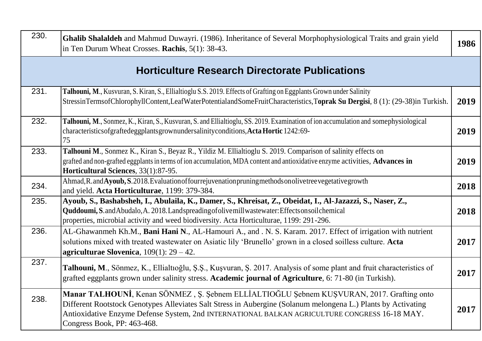| 230. | Ghalib Shalaldeh and Mahmud Duwayri. (1986). Inheritance of Several Morphophysiological Traits and grain yield<br>in Ten Durum Wheat Crosses. Rachis, 5(1): 38-43.                                                                                                                                                                         | 1986 |
|------|--------------------------------------------------------------------------------------------------------------------------------------------------------------------------------------------------------------------------------------------------------------------------------------------------------------------------------------------|------|
|      | <b>Horticulture Research Directorate Publications</b>                                                                                                                                                                                                                                                                                      |      |
| 231. | Talhouni, M., Kusvuran, S. Kiran, S., Ellialtioglu S.S. 2019. Effects of Grafting on Eggplants Grown under Salinity<br>StressinTermsofChlorophyllContent,LeafWaterPotentialandSomeFruitCharacteristics,Toprak Su Dergisi, 8 (1): (29-38)in Turkish.                                                                                        | 2019 |
| 232. | Talhouni, M., Sonmez, K., Kiran, S., Kusvuran, S. and Ellialtioglu, SS. 2019. Examination of ion accumulation and somephysiological<br>characteristicsofgraftedeggplantsgrownundersalinityconditions, Acta Hortic 1242:69-<br>75                                                                                                           | 2019 |
| 233. | Talhouni M., Sonmez K., Kiran S., Beyaz R., Yildiz M. Ellialtioglu S. 2019. Comparison of salinity effects on<br>grafted and non-grafted eggplants in terms of ion accumulation, MDA content and antioxidative enzyme activities, Advances in<br>Horticultural Sciences, 33(1):87-95.                                                      | 2019 |
| 234. | Ahmad, R. and Ayoub, S. 2018. Evaluation of four rejuvenation pruning methods on olive tree vegetative growth<br>and yield. Acta Horticulturae, 1199: 379-384.                                                                                                                                                                             | 2018 |
| 235. | Ayoub, S., Bashabsheh, I., Abulaila, K., Damer, S., Khreisat, Z., Obeidat, I., Al-Jazazzi, S., Naser, Z.,<br>Quddoumi, S. and Abudalo, A. 2018. Landspreading of olive mill was tewater: Effects on soil chemical<br>properties, microbial activity and weed biodiversity. Acta Horticulturae, 1199: 291-296.                              | 2018 |
| 236. | AL-Ghawanmeh Kh.M., Bani Hani N., AL-Hamouri A., and . N. S. Karam. 2017. Effect of irrigation with nutrient<br>solutions mixed with treated wastewater on Asiatic lily 'Brunello' grown in a closed soilless culture. Acta<br>agriculturae Slovenica, $109(1)$ : 29 – 42.                                                                 | 2017 |
| 237. | Talhouni, M., Sönmez, K., Ellialtioğlu, Ş.Ş., Kuşvuran, Ş. 2017. Analysis of some plant and fruit characteristics of<br>grafted eggplants grown under salinity stress. Academic journal of Agriculture, 6: 71-80 (in Turkish).                                                                                                             | 2017 |
| 238. | Manar TALHOUNI, Kenan SÖNMEZ, Ş. Şebnem ELLİALTIOĞLU Şebnem KUŞVURAN, 2017. Grafting onto<br>Different Rootstock Genotypes Alleviates Salt Stress in Aubergine (Solanum melongena L.) Plants by Activating<br>Antioxidative Enzyme Defense System, 2nd INTERNATIONAL BALKAN AGRICULTURE CONGRESS 16-18 MAY.<br>Congress Book, PP: 463-468. | 2017 |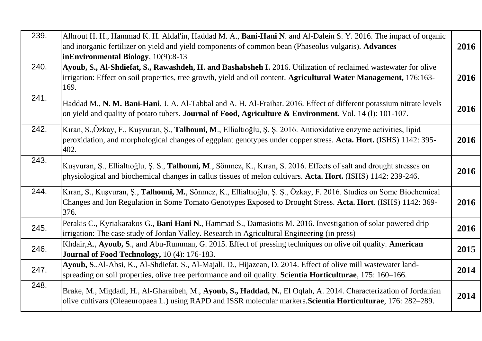| 239. | Alhrout H. H., Hammad K. H. Aldal'in, Haddad M. A., Bani-Hani N. and Al-Dalein S. Y. 2016. The impact of organic<br>and inorganic fertilizer on yield and yield components of common bean (Phaseolus vulgaris). Advances<br>inEnvironmental Biology, 10(9):8-13 | 2016 |
|------|-----------------------------------------------------------------------------------------------------------------------------------------------------------------------------------------------------------------------------------------------------------------|------|
| 240. | Ayoub, S., Al-Shdiefat, S., Rawashdeh, H. and Bashabsheh I. 2016. Utilization of reclaimed wastewater for olive<br>irrigation: Effect on soil properties, tree growth, yield and oil content. Agricultural Water Management, 176:163-<br>169.                   | 2016 |
| 241. | Haddad M., N. M. Bani-Hani, J. A. Al-Tabbal and A. H. Al-Fraihat. 2016. Effect of different potassium nitrate levels<br>on yield and quality of potato tubers. Journal of Food, Agriculture & Environment. Vol. 14 (1): 101-107.                                | 2016 |
| 242. | Kıran, S.,Özkay, F., Kuşvuran, Ş., Talhouni, M., Ellialtioğlu, Ş. Ş. 2016. Antioxidative enzyme activities, lipid<br>peroxidation, and morphological changes of eggplant genotypes under copper stress. Acta. Hort. (ISHS) 1142: 395-<br>402.                   | 2016 |
| 243. | Kuşvuran, Ş., Ellialtıoğlu, Ş. Ş., Talhouni, M., Sönmez, K., Kıran, S. 2016. Effects of salt and drought stresses on<br>physiological and biochemical changes in callus tissues of melon cultivars. Acta. Hort. (ISHS) 1142: 239-246.                           | 2016 |
| 244. | Kıran, S., Kuşvuran, Ş., Talhouni, M., Sönmez, K., Ellialtıoğlu, Ş. Ş., Özkay, F. 2016. Studies on Some Biochemical<br>Changes and Ion Regulation in Some Tomato Genotypes Exposed to Drought Stress. Acta. Hort. (ISHS) 1142: 369-<br>376.                     | 2016 |
| 245. | Perakis C., Kyriakarakos G., Bani Hani N., Hammad S., Damasiotis M. 2016. Investigation of solar powered drip<br>irrigation: The case study of Jordan Valley. Research in Agricultural Engineering (in press)                                                   | 2016 |
| 246. | Khdair, A., Ayoub, S., and Abu-Rumman, G. 2015. Effect of pressing techniques on olive oil quality. American<br>Journal of Food Technology, 10 (4): 176-183.                                                                                                    | 2015 |
| 247. | Ayoub, S., Al-Absi, K., Al-Shdiefat, S., Al-Majali, D., Hijazean, D. 2014. Effect of olive mill wastewater land-<br>spreading on soil properties, olive tree performance and oil quality. Scientia Horticulturae, 175: 160–166.                                 | 2014 |
| 248. | Brake, M., Migdadi, H., Al-Gharaibeh, M., Ayoub, S., Haddad, N., El Oqlah, A. 2014. Characterization of Jordanian<br>olive cultivars (Oleaeuropaea L.) using RAPD and ISSR molecular markers. Scientia Horticulturae, 176: 282–289.                             | 2014 |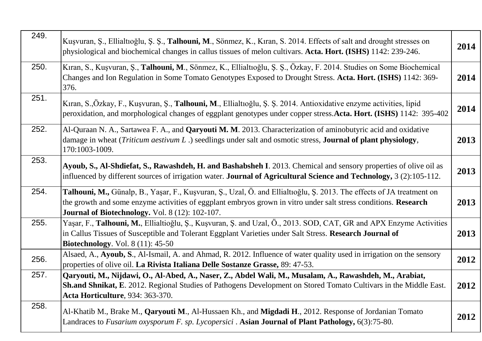| 249. | Kuşvuran, Ş., Ellialtıoğlu, Ş. Ş., Talhouni, M., Sönmez, K., Kıran, S. 2014. Effects of salt and drought stresses on<br>physiological and biochemical changes in callus tissues of melon cultivars. Acta. Hort. (ISHS) 1142: 239-246.                                                       | 2014 |
|------|---------------------------------------------------------------------------------------------------------------------------------------------------------------------------------------------------------------------------------------------------------------------------------------------|------|
| 250. | Kıran, S., Kuşvuran, Ş., Talhouni, M., Sönmez, K., Ellialtıoğlu, Ş. Ş., Özkay, F. 2014. Studies on Some Biochemical<br>Changes and Ion Regulation in Some Tomato Genotypes Exposed to Drought Stress. Acta. Hort. (ISHS) 1142: 369-<br>376.                                                 | 2014 |
| 251. | Kıran, S.,Özkay, F., Kuşvuran, Ş., <b>Talhouni, M</b> ., Ellialtıoğlu, Ş. Ş. 2014. Antioxidative enzyme activities, lipid<br>peroxidation, and morphological changes of eggplant genotypes under copper stress. Acta. Hort. (ISHS) 1142: 395-402                                            | 2014 |
| 252. | Al-Quraan N. A., Sartawea F. A., and <b>Qaryouti M. M</b> . 2013. Characterization of aminobutyric acid and oxidative<br>damage in wheat ( <i>Triticum aestivum L</i> .) seedlings under salt and osmotic stress, <b>Journal of plant physiology</b> ,<br>170:1003-1009.                    | 2013 |
| 253. | Ayoub, S., Al-Shdiefat, S., Rawashdeh, H. and Bashabsheh I. 2013. Chemical and sensory properties of olive oil as<br>influenced by different sources of irrigation water. Journal of Agricultural Science and Technology, 3 (2):105-112.                                                    | 2013 |
| 254. | Talhouni, M., Günalp, B., Yaşar, F., Kuşvuran, Ş., Uzal, Ö. and Ellialtıoğlu, Ş. 2013. The effects of JA treatment on<br>the growth and some enzyme activities of eggplant embryos grown in vitro under salt stress conditions. Research<br>Journal of Biotechnology. Vol. 8 (12): 102-107. | 2013 |
| 255. | Yaşar, F., Talhouni, M., Ellialtioğlu, Ş., Kuşvuran, Ş. and Uzal, Ö., 2013. SOD, CAT, GR and APX Enzyme Activities<br>in Callus Tissues of Susceptible and Tolerant Eggplant Varieties under Salt Stress. Research Journal of<br><b>Biotechnology.</b> Vol. 8 (11): 45-50                   | 2013 |
| 256. | Alsaed, A., Ayoub, S., Al-Ismail, A. and Ahmad, R. 2012. Influence of water quality used in irrigation on the sensory<br>properties of olive oil. La Rivista Italiana Delle Sostanze Grasse, 89: 47-53.                                                                                     | 2012 |
| 257. | Qaryouti, M., Nijdawi, O., Al-Abed, A., Naser, Z., Abdel Wali, M., Musalam, A., Rawashdeh, M., Arabiat,<br>Sh.and Shnikat, E. 2012. Regional Studies of Pathogens Development on Stored Tomato Cultivars in the Middle East.<br>Acta Horticulture, 934: 363-370.                            | 2012 |
| 258. | Al-Khatib M., Brake M., <b>Qaryouti M.</b> , Al-Hussaen Kh., and <b>Migdadi H.</b> , 2012. Response of Jordanian Tomato<br>Landraces to Fusarium oxysporum F. sp. Lycopersici. Asian Journal of Plant Pathology, 6(3):75-80.                                                                | 2012 |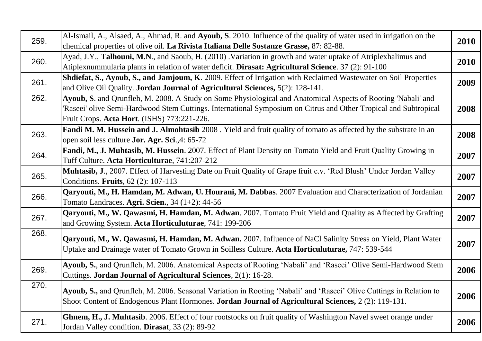| 259. | Al-Ismail, A., Alsaed, A., Ahmad, R. and Ayoub, S. 2010. Influence of the quality of water used in irrigation on the<br>chemical properties of olive oil. La Rivista Italiana Delle Sostanze Grasse, 87: 82-88.                                                                  | <b>2010</b> |
|------|----------------------------------------------------------------------------------------------------------------------------------------------------------------------------------------------------------------------------------------------------------------------------------|-------------|
| 260. | Ayad, J.Y., Talhouni, M.N., and Saoub, H. (2010). Variation in growth and water uptake of Atriplexhalimus and<br>Atiplexnummularia plants in relation of water deficit. Dirasat: Agricultural Science. 37 (2): 91-100                                                            | 2010        |
| 261. | Shdiefat, S., Ayoub, S., and Jamjoum, K. 2009. Effect of Irrigation with Reclaimed Wastewater on Soil Properties<br>and Olive Oil Quality. Jordan Journal of Agricultural Sciences, 5(2): 128-141.                                                                               | 2009        |
| 262. | Ayoub, S. and Qrunfleh, M. 2008. A Study on Some Physiological and Anatomical Aspects of Rooting 'Nabali' and<br>'Raseei' olive Semi-Hardwood Stem Cuttings. International Symposium on Citrus and Other Tropical and Subtropical<br>Fruit Crops. Acta Hort. (ISHS) 773:221-226. | 2008        |
| 263. | Fandi M. M. Hussein and J. Almohtasib 2008. Yield and fruit quality of tomato as affected by the substrate in an<br>open soil less culture <b>Jor. Agr. Sci.</b> ,4: 65-72                                                                                                       | 2008        |
| 264. | Fandi, M., J. Muhtasib, M. Hussein. 2007. Effect of Plant Density on Tomato Yield and Fruit Quality Growing in<br>Tuff Culture. Acta Horticulturae, 741:207-212                                                                                                                  | 2007        |
| 265. | Muhtasib, J., 2007. Effect of Harvesting Date on Fruit Quality of Grape fruit c.v. 'Red Blush' Under Jordan Valley<br>Conditions. Fruits, 62 (2): 107-113                                                                                                                        | 2007        |
| 266. | Qaryouti, M., H. Hamdan, M. Adwan, U. Hourani, M. Dabbas. 2007 Evaluation and Characterization of Jordanian<br>Tomato Landraces. Agri. Scien., $34(1+2)$ : 44-56                                                                                                                 | 2007        |
| 267. | Qaryouti, M., W. Qawasmi, H. Hamdan, M. Adwan. 2007. Tomato Fruit Yield and Quality as Affected by Grafting<br>and Growing System. Acta Horticuluturae, 741: 199-206                                                                                                             | 2007        |
| 268. | Qaryouti, M., W. Qawasmi, H. Hamdan, M. Adwan. 2007. Influence of NaCl Salinity Stress on Yield, Plant Water<br>Uptake and Drainage water of Tomato Grown in Soilless Culture. Acta Horticuluturae, 747: 539-544                                                                 | 2007        |
| 269. | Ayoub, S., and Qrunfleh, M. 2006. Anatomical Aspects of Rooting 'Nabali' and 'Raseei' Olive Semi-Hardwood Stem<br>Cuttings. <b>Jordan Journal of Agricultural Sciences</b> , 2(1): 16-28.                                                                                        | 2006        |
| 270. | Ayoub, S., and Qrunfleh, M. 2006. Seasonal Variation in Rooting 'Nabali' and 'Raseei' Olive Cuttings in Relation to<br>Shoot Content of Endogenous Plant Hormones. Jordan Journal of Agricultural Sciences, 2 (2): 119-131.                                                      | 2006        |
| 271. | Ghnem, H., J. Muhtasib. 2006. Effect of four rootstocks on fruit quality of Washington Navel sweet orange under<br>Jordan Valley condition. Dirasat, 33 (2): 89-92                                                                                                               | 2006        |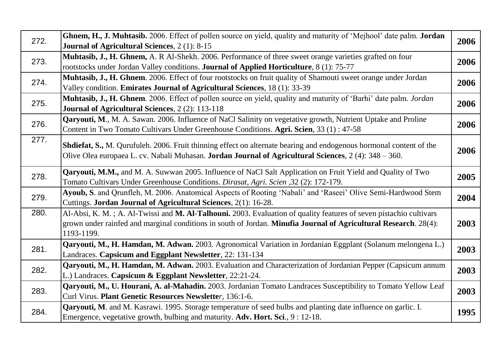| 272. | Ghnem, H., J. Muhtasib. 2006. Effect of pollen source on yield, quality and maturity of 'Mejhool' date palm. Jordan | 2006 |
|------|---------------------------------------------------------------------------------------------------------------------|------|
|      | Journal of Agricultural Sciences, 2 (1): 8-15                                                                       |      |
| 273. | Muhtasib, J., H. Ghnem, A. R Al-Shekh. 2006. Performance of three sweet orange varieties grafted on four            | 2006 |
|      | rootstocks under Jordan Valley conditions. Journal of Applied Horticulture, 8 (1): 75-77                            |      |
| 274. | Muhtasib, J., H. Ghnem. 2006. Effect of four rootstocks on fruit quality of Shamouti sweet orange under Jordan      | 2006 |
|      | Valley condition. Emirates Journal of Agricultural Sciences, 18 (1): 33-39                                          |      |
| 275. | Muhtasib, J., H. Ghnem. 2006. Effect of pollen source on yield, quality and maturity of 'Barhi' date palm. Jordan   | 2006 |
|      | Journal of Agricultural Sciences, 2 (2): 113-118                                                                    |      |
| 276. | Qaryouti, M., M. A. Sawan. 2006. Influence of NaCl Salinity on vegetative growth, Nutrient Uptake and Proline       | 2006 |
|      | Content in Two Tomato Cultivars Under Greenhouse Conditions. Agri. Scien, 33 (1): 47-58                             |      |
| 277. | Shdiefat, S., M. Qurufuleh. 2006. Fruit thinning effect on alternate bearing and endogenous hormonal content of the |      |
|      | Olive Olea europaea L. cv. Nabali Muhasan. Jordan Journal of Agricultural Sciences, 2 (4): 348 - 360.               | 2006 |
|      |                                                                                                                     |      |
| 278. | Qaryouti, M.M., and M. A. Suwwan 2005. Influence of NaCl Salt Application on Fruit Yield and Quality of Two         | 2005 |
|      | Tomato Cultivars Under Greenhouse Conditions. Dirasat, Agri. Scien ,32 (2): 172-179.                                |      |
| 279. | Ayoub, S. and Qrunfleh, M. 2006. Anatomical Aspects of Rooting 'Nabali' and 'Raseei' Olive Semi-Hardwood Stem       | 2004 |
|      | Cuttings. Jordan Journal of Agricultural Sciences, 2(1): 16-28.                                                     |      |
| 280. | Al-Absi, K. M.; A. Al-Twissi and M. Al-Talhouni. 2003. Evaluation of quality features of seven pistachio cultivars  |      |
|      | grown under rainfed and marginal conditions in south of Jordan. Minufia Journal of Agricultural Research. 28(4):    | 2003 |
|      | 1193-1199.                                                                                                          |      |
| 281. | Qaryouti, M., H. Hamdan, M. Adwan. 2003. Agronomical Variation in Jordanian Eggplant (Solanum melongena L.)         | 2003 |
|      | Landraces. Capsicum and Eggplant Newsletter, 22: 131-134                                                            |      |
| 282. | Qaryouti, M., H. Hamdan, M. Adwan. 2003. Evaluation and Characterization of Jordanian Pepper (Capsicum annum        | 2003 |
|      | L.) Landraces. Capsicum & Eggplant Newsletter, 22:21-24.                                                            |      |
| 283. | Qaryouti, M., U. Hourani, A. al-Mahadin. 2003. Jordanian Tomato Landraces Susceptibility to Tomato Yellow Leaf      | 2003 |
|      | Curl Virus. Plant Genetic Resources Newsletter, 136:1-6.                                                            |      |
| 284. | Qaryouti, M. and M. Kasrawi. 1995. Storage temperature of seed bulbs and planting date influence on garlic. I.      | 1995 |
|      | Emergence, vegetative growth, bulbing and maturity. Adv. Hort. Sci., 9:12-18.                                       |      |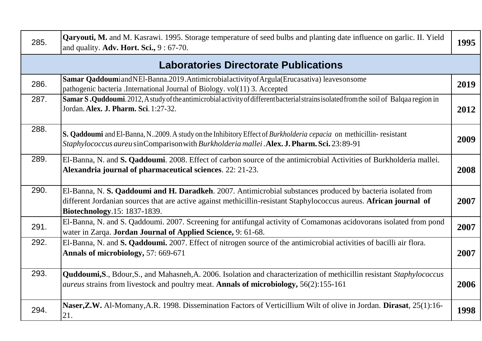| 285. | <b>Qaryouti, M.</b> and M. Kasrawi. 1995. Storage temperature of seed bulbs and planting date influence on garlic. II. Yield<br>and quality. Adv. Hort. Sci., 9:67-70.                                                                                             | 1995 |
|------|--------------------------------------------------------------------------------------------------------------------------------------------------------------------------------------------------------------------------------------------------------------------|------|
|      | <b>Laboratories Directorate Publications</b>                                                                                                                                                                                                                       |      |
| 286. | Samar QaddoumiandNEl-Banna.2019.Antimicrobialactivity of Argula (Erucasativa) leaves on some<br>pathogenic bacteria .International Journal of Biology. vol(11) 3. Accepted                                                                                         | 2019 |
| 287. | Samar S.Quddoumi. 2012, A study of the antimicrobial activity of different bacterial strains isolated from the soil of Balqaa region in<br>Jordan. Alex. J. Pharm. Sci. 1:27-32.                                                                                   | 2012 |
| 288. | S. Qaddoumi and El-Banna, N2009. A study on the Inhibitory Effect of Burkholderia cepacia on methicillin-resistant<br>Staphylococcus aureu sinComparison with Burkholderia mallei . Alex. J. Pharm. Sci. 23:89-91                                                  | 2009 |
| 289. | El-Banna, N. and S. Qaddoumi. 2008. Effect of carbon source of the antimicrobial Activities of Burkholderia mallei.<br>Alexandria journal of pharmaceutical sciences. 22: 21-23.                                                                                   | 2008 |
| 290. | El-Banna, N. S. Qaddoumi and H. Daradkeh. 2007. Antimicrobial substances produced by bacteria isolated from<br>different Jordanian sources that are active against methicillin-resistant Staphylococcus aureus. African journal of<br>Biotechnology.15: 1837-1839. | 2007 |
| 291. | El-Banna, N. and S. Qaddoumi. 2007. Screening for antifungal activity of Comamonas acidovorans isolated from pond<br>water in Zarqa. Jordan Journal of Applied Science, 9: 61-68.                                                                                  | 2007 |
| 292. | El-Banna, N. and S. Qaddoumi. 2007. Effect of nitrogen source of the antimicrobial activities of bacilli air flora.<br>Annals of microbiology, 57: 669-671                                                                                                         | 2007 |
| 293. | Quddoumi, S., Bdour, S., and Mahasneh, A. 2006. Isolation and characterization of methicillin resistant Staphylococcus<br><i>aureus</i> strains from livestock and poultry meat. Annals of microbiology, 56(2):155-161                                             | 2006 |
| 294. | Naser, Z.W. Al-Momany, A.R. 1998. Dissemination Factors of Verticillium Wilt of olive in Jordan. Dirasat, 25(1):16-<br>21.                                                                                                                                         | 1998 |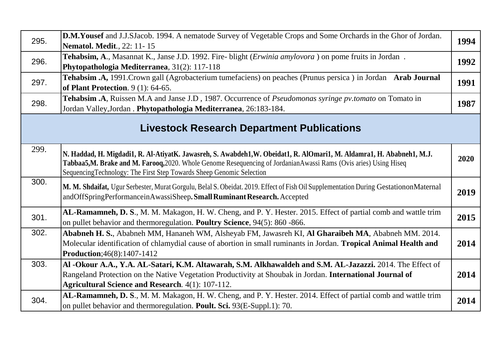| 295. | <b>D.M.Yousef</b> and J.J.SJacob. 1994. A nematode Survey of Vegetable Crops and Some Orchards in the Ghor of Jordan.<br><b>Nematol. Medit.</b> , 22: 11-15                                                                                                                                                        | 1994 |
|------|--------------------------------------------------------------------------------------------------------------------------------------------------------------------------------------------------------------------------------------------------------------------------------------------------------------------|------|
| 296. | Tehabsim, A., Masannat K., Janse J.D. 1992. Fire- blight ( <i>Erwinia amylovora</i> ) on pome fruits in Jordan.<br>Phytopathologia Mediterranea, 31(2): 117-118                                                                                                                                                    | 1992 |
| 297. | Tehabsim .A, 1991.Crown gall (Agrobacterium tumefaciens) on peaches (Prunus persica) in Jordan Arab Journal<br>of Plant Protection. $9(1)$ : 64-65.                                                                                                                                                                | 1991 |
| 298. | Tehabsim .A, Ruissen M.A and Janse J.D, 1987. Occurrence of <i>Pseudomonas syringe pv.tomato</i> on Tomato in<br>Jordan Valley, Jordan. Phytopathologia Mediterranea, 26:183-184.                                                                                                                                  | 1987 |
|      | <b>Livestock Research Department Publications</b>                                                                                                                                                                                                                                                                  |      |
| 299. | N. Haddad, H. Migdadi1, R. Al-AtiyatK. Jawasreh, S. Awabdeh1,W. Obeidat1, R. AlOmari1, M. Aldamra1, H. Ababneh1, M.J.<br>Tabbaa5,M. Brake and M. Farooq, 2020. Whole Genome Resequencing of JordanianAwassi Rams (Ovis aries) Using Hiseq<br>Sequencing Technology: The First Step Towards Sheep Genomic Selection | 2020 |
| 300. | M. M. Shdaifat, Ugur Serbester, Murat Gorgulu, Belal S. Obeidat. 2019. Effect of Fish Oil Supplementation During GestationonMaternal<br>andOffSpringPerformanceinAwassiSheep.Small Ruminant Research. Accepted                                                                                                     | 2019 |
| 301. | AL-Ramamneh, D. S., M. M. Makagon, H. W. Cheng, and P. Y. Hester. 2015. Effect of partial comb and wattle trim<br>on pullet behavior and thermoregulation. Poultry Science, 94(5): 860 -866.                                                                                                                       | 2015 |
| 302. | Ababneh H. S., Ababneh MM, Hananeh WM, Alsheyab FM, Jawasreh KI, Al Gharaibeh MA, Ababneh MM. 2014.<br>Molecular identification of chlamydial cause of abortion in small ruminants in Jordan. Tropical Animal Health and<br>Production; 46(8): 1407-1412                                                           | 2014 |
| 303. | Al -Okour A.A., Y.A. AL-Satari, K.M. Altawarah, S.M. Alkhawaldeh and S.M. AL-Jazazzi. 2014. The Effect of<br>Rangeland Protection on the Native Vegetation Productivity at Shoubak in Jordan. International Journal of<br><b>Agricultural Science and Research.</b> 4(1): 107-112.                                 | 2014 |
| 304. | AL-Ramamneh, D. S., M. M. Makagon, H. W. Cheng, and P. Y. Hester. 2014. Effect of partial comb and wattle trim<br>on pullet behavior and thermoregulation. Poult. Sci. 93(E-Suppl.1): 70.                                                                                                                          | 2014 |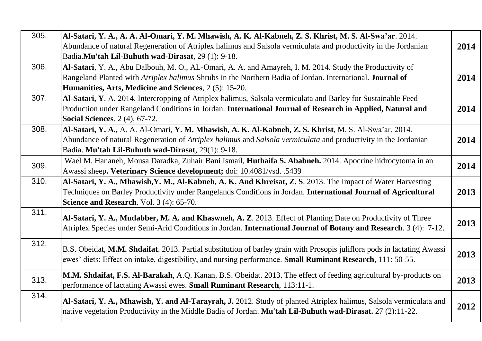| 305. | Al-Satari, Y. A., A. A. Al-Omari, Y. M. Mhawish, A. K. Al-Kabneh, Z. S. Khrist, M. S. Al-Swa'ar. 2014.<br>Abundance of natural Regeneration of Atriplex halimus and Salsola vermiculata and productivity in the Jordanian<br>Badia.Mu'tah Lil-Buhuth wad-Dirasat, 29 (1): 9-18. | 2014 |
|------|---------------------------------------------------------------------------------------------------------------------------------------------------------------------------------------------------------------------------------------------------------------------------------|------|
| 306. | Al-Satari, Y. A., Abu Dalbouh, M. O., AL-Omari, A. A. and Amayreh, I. M. 2014. Study the Productivity of<br>Rangeland Planted with Atriplex halimus Shrubs in the Northern Badia of Jordan. International. Journal of<br>Humanities, Arts, Medicine and Sciences, 2 (5): 15-20. | 2014 |
| 307. | Al-Satari, Y. A. 2014. Intercropping of Atriplex halimus, Salsola vermiculata and Barley for Sustainable Feed<br>Production under Rangeland Conditions in Jordan. International Journal of Research in Applied, Natural and<br><b>Social Sciences.</b> 2 (4), 67-72.            | 2014 |
| 308. | Al-Satari, Y. A., A. A. Al-Omari, Y. M. Mhawish, A. K. Al-Kabneh, Z. S. Khrist, M. S. Al-Swa'ar. 2014.<br>Abundance of natural Regeneration of Atriplex halimus and Salsola vermiculata and productivity in the Jordanian<br>Badia. Mu'tah Lil-Buhuth wad-Dirasat, 29(1): 9-18. | 2014 |
| 309. | Wael M. Hananeh, Mousa Daradka, Zuhair Bani Ismail, Huthaifa S. Ababneh. 2014. Apocrine hidrocytoma in an<br>Awassi sheep. Veterinary Science development; doi: 10.4081/vsd. .5439                                                                                              | 2014 |
| 310. | Al-Satari, Y. A., Mhawish, Y. M., Al-Kabneh, A. K. And Khreisat, Z. S. 2013. The Impact of Water Harvesting<br>Techniques on Barley Productivity under Rangelands Conditions in Jordan. International Journal of Agricultural<br>Science and Research. Vol. 3 (4): 65-70.       | 2013 |
| 311. | Al-Satari, Y. A., Mudabber, M. A. and Khaswneh, A. Z. 2013. Effect of Planting Date on Productivity of Three<br>Atriplex Species under Semi-Arid Conditions in Jordan. International Journal of Botany and Research. 3 (4): 7-12.                                               | 2013 |
| 312. | B.S. Obeidat, M.M. Shdaifat. 2013. Partial substitution of barley grain with Prosopis juliflora pods in lactating Awassi<br>ewes' diets: Effect on intake, digestibility, and nursing performance. Small Ruminant Research, 111: 50-55.                                         | 2013 |
| 313. | M.M. Shdaifat, F.S. Al-Barakah, A.Q. Kanan, B.S. Obeidat. 2013. The effect of feeding agricultural by-products on<br>performance of lactating Awassi ewes. Small Ruminant Research, 113:11-1.                                                                                   | 2013 |
| 314. | Al-Satari, Y. A., Mhawish, Y. and Al-Tarayrah, J. 2012. Study of planted Atriplex halimus, Salsola vermiculata and<br>native vegetation Productivity in the Middle Badia of Jordan. Mu'tah Lil-Buhuth wad-Dirasat. 27 (2):11-22.                                                | 2012 |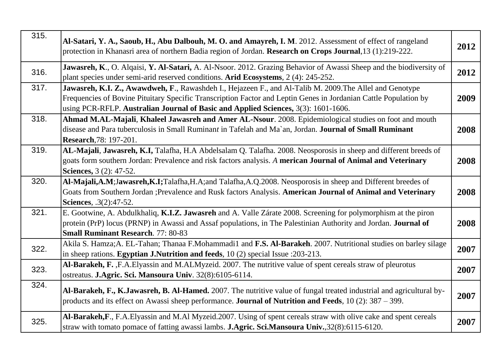| 315. | Al-Satari, Y. A., Saoub, H., Abu Dalbouh, M. O. and Amayreh, I. M. 2012. Assessment of effect of rangeland<br>protection in Khanasri area of northern Badia region of Jordan. Research on Crops Journal, 13 (1):219-222.                                                                                           | 2012 |
|------|--------------------------------------------------------------------------------------------------------------------------------------------------------------------------------------------------------------------------------------------------------------------------------------------------------------------|------|
| 316. | Jawasreh, K., O. Alqaisi, Y. Al-Satari, A. Al-Nsoor. 2012. Grazing Behavior of Awassi Sheep and the biodiversity of<br>plant species under semi-arid reserved conditions. Arid Ecosystems, 2 (4): 245-252.                                                                                                         | 2012 |
| 317. | Jawasreh, K.I. Z., Awawdweh, F., Rawashdeh I., Hejazeen F., and Al-Talib M. 2009. The Allel and Genotype<br>Frequencies of Bovine Pituitary Specific Transcription Factor and Leptin Genes in Jordanian Cattle Population by<br>using PCR-RFLP. Australian Journal of Basic and Applied Sciences, 3(3): 1601-1606. | 2009 |
| 318. | Ahmad M.AL-Majali, Khaleel Jawasreh and Amer AL-Nsour. 2008. Epidemiological studies on foot and mouth<br>disease and Para tuberculosis in Small Ruminant in Tafelah and Ma'an, Jordan. Journal of Small Ruminant<br><b>Research, 78: 197-201.</b>                                                                 | 2008 |
| 319. | AL-Majali, Jawasreh, K.I, Talafha, H.A Abdelsalam Q. Talafha. 2008. Neosporosis in sheep and different breeds of<br>goats form southern Jordan: Prevalence and risk factors analysis. A merican Journal of Animal and Veterinary<br><b>Sciences</b> , 3 (2): 47-52.                                                | 2008 |
| 320. | Al-Majali,A.M;Jawasreh,K.I;Talafha,H.A;and Talafha,A.Q.2008. Neosporosis in sheep and Different breedes of<br>Goats from Southern Jordan ; Prevalence and Rusk factors Analysis. American Journal of Animal and Veterinary<br><b>Sciences</b> , .3(2):47-52.                                                       | 2008 |
| 321. | E. Gootwine, A. Abdulkhaliq, K.I.Z. Jawasreh and A. Valle Zárate 2008. Screening for polymorphism at the piron<br>protein (PrP) locus (PRNP) in Awassi and Assaf populations, in The Palestinian Authority and Jordan. Journal of<br><b>Small Ruminant Research.</b> 77: 80-83                                     | 2008 |
| 322. | Akila S. Hamza;A. EL-Tahan; Thanaa F.Mohammadi1 and F.S. Al-Barakeh. 2007. Nutritional studies on barley silage<br>in sheep rations. Egyptian J.Nutrition and feeds, 10 (2) special Issue : 203-213.                                                                                                               | 2007 |
| 323. | Al-Barakeh, F., F.A. Elyassin and M.ALMyzeid. 2007. The nutritive value of spent cereals straw of pleurotus<br>ostreatus. J.Agric. Sci. Mansoura Univ. 32(8):6105-6114.                                                                                                                                            | 2007 |
| 324. | Al-Barakeh, F., K.Jawasreh, B. Al-Hamed. 2007. The nutritive value of fungal treated industrial and agricultural by-<br>products and its effect on Awassi sheep performance. <b>Journal of Nutrition and Feeds</b> , $10(2)$ : $387 - 399$ .                                                                       | 2007 |
| 325. | Al-Barakeh, F., F.A. Elyassin and M.Al Myzeid. 2007. Using of spent cereals straw with olive cake and spent cereals<br>straw with tomato pomace of fatting awassi lambs. J.Agric. Sci.Mansoura Univ., 32(8):6115-6120.                                                                                             | 2007 |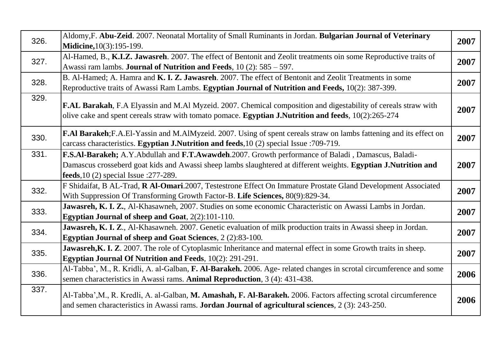| 326. | Aldomy, F. Abu-Zeid. 2007. Neonatal Mortality of Small Ruminants in Jordan. Bulgarian Journal of Veterinary<br>Midicine, 10(3): 195-199.                                                                                                                            | 2007 |
|------|---------------------------------------------------------------------------------------------------------------------------------------------------------------------------------------------------------------------------------------------------------------------|------|
| 327. | Al-Hamed, B., K.I.Z. Jawasreh. 2007. The effect of Bentonit and Zeolit treatments oin some Reproductive traits of<br>Awassi ram lambs. <b>Journal of Nutrition and Feeds</b> , $10(2)$ : $585 - 597$ .                                                              | 2007 |
| 328. | B. Al-Hamed; A. Hamra and K. I. Z. Jawasreh. 2007. The effect of Bentonit and Zeolit Treatments in some<br>Reproductive traits of Awassi Ram Lambs. Egyptian Journal of Nutrition and Feeds, 10(2): 387-399.                                                        | 2007 |
| 329. | F.AL Barakah, F.A Elyassin and M.Al Myzeid. 2007. Chemical composition and digestability of cereals straw with<br>olive cake and spent cereals straw with tomato pomace. <b>Egyptian J.Nutrition and feeds</b> , $10(2):265-274$                                    | 2007 |
| 330. | F.Al Barakeh; F.A.El-Yassin and M.AlMyzeid. 2007. Using of spent cereals straw on lambs fattening and its effect on<br>carcass characteristics. Egyptian J.Nutrition and feeds, 10 (2) special Issue : 709-719.                                                     | 2007 |
| 331. | F.S.Al-Barakeh; A.Y.Abdullah and F.T.Awawdeh.2007. Growth performance of Baladi, Damascus, Baladi-<br>Damascus crosseberd goat kids and Awassi sheep lambs slaughtered at different weights. Egyptian J.Nutrition and<br>feeds, $10(2)$ special Issue : $277-289$ . | 2007 |
| 332. | F Shidaifat, B AL-Trad, R Al-Omari.2007, Testestrone Effect On Immature Prostate Gland Development Associated<br>With Suppression Of Transforming Growth Factor-B. Life Sciences, 80(9):829-34.                                                                     | 2007 |
| 333. | Jawasreh, K. I. Z., Al-Khasawneh, 2007. Studies on some economic Characteristic on Awassi Lambs in Jordan.<br><b>Egyptian Journal of sheep and Goat, 2(2):101-110.</b>                                                                                              | 2007 |
| 334. | Jawasreh, K. I. Z., Al-Khasawneh. 2007. Genetic evaluation of milk production traits in Awassi sheep in Jordan.<br>Egyptian Journal of sheep and Goat Sciences, 2 (2):83-100.                                                                                       | 2007 |
| 335. | Jawasreh, K. I. Z. 2007. The role of Cytoplasmic Inheritance and maternal effect in some Growth traits in sheep.<br><b>Egyptian Journal Of Nutrition and Feeds</b> , 10(2): 291-291.                                                                                | 2007 |
| 336. | Al-Tabba', M., R. Kridli, A. al-Galban, F. Al-Barakeh. 2006. Age- related changes in scrotal circumference and some<br>semen characteristics in Awassi rams. Animal Reproduction, 3 (4): 431-438.                                                                   | 2006 |
| 337. | Al-Tabba', M., R. Kredli, A. al-Galban, M. Amashah, F. Al-Barakeh. 2006. Factors affecting scrotal circumference<br>and semen characteristics in Awassi rams. <b>Jordan Journal of agricultural sciences</b> , 2 (3): 243-250.                                      | 2006 |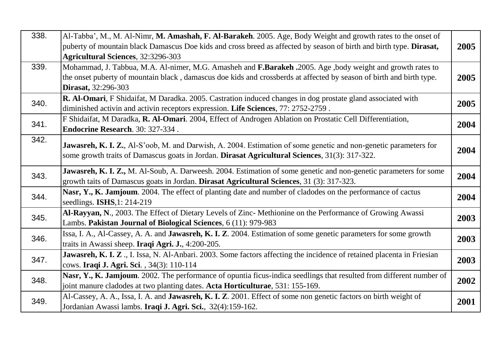| 338. | Al-Tabba', M., M. Al-Nimr, M. Amashah, F. Al-Barakeh. 2005. Age, Body Weight and growth rates to the onset of<br>puberty of mountain black Damascus Doe kids and cross breed as affected by season of birth and birth type. Dirasat,<br><b>Agricultural Sciences</b> , 32:3296-303 | 2005 |
|------|------------------------------------------------------------------------------------------------------------------------------------------------------------------------------------------------------------------------------------------------------------------------------------|------|
| 339. | Mohammad, J. Tabbua, M.A. Al-nimer, M.G. Amasheh and F.Barakeh .2005. Age ,body weight and growth rates to<br>the onset puberty of mountain black, damascus doe kids and crossberds at affected by season of birth and birth type.<br><b>Dirasat, 32:296-303</b>                   | 2005 |
| 340. | R. Al-Omari, F Shidaifat, M Daradka. 2005. Castration induced changes in dog prostate gland associated with<br>diminished activin and activin receptors expression. Life Sciences, 77: 2752-2759.                                                                                  | 2005 |
| 341. | F Shidaifat, M Daradka, R. Al-Omari. 2004, Effect of Androgen Ablation on Prostatic Cell Differentiation,<br>Endocrine Research. 30: 327-334.                                                                                                                                      | 2004 |
| 342. | Jawasreh, K. I. Z., Al-S'oob, M. and Darwish, A. 2004. Estimation of some genetic and non-genetic parameters for<br>some growth traits of Damascus goats in Jordan. Dirasat Agricultural Sciences, 31(3): 317-322.                                                                 | 2004 |
| 343. | Jawasreh, K. I. Z., M. Al-Soub, A. Darweesh. 2004. Estimation of some genetic and non-genetic parameters for some<br>growth taits of Damascus goats in Jordan. Dirasat Agricultural Sciences, 31 (3): 317-323.                                                                     | 2004 |
| 344. | Nasr, Y., K. Jamjoum. 2004. The effect of planting date and number of cladodes on the performance of cactus<br>seedlings. <b>ISHS</b> ,1: 214-219                                                                                                                                  | 2004 |
| 345. | Al-Rayyan, N., 2003. The Effect of Dietary Levels of Zinc- Methionine on the Performance of Growing Awassi<br>Lambs. Pakistan Journal of Biological Sciences, 6 (11): 979-983                                                                                                      | 2003 |
| 346. | Issa, I. A., Al-Cassey, A. A. and <b>Jawasreh, K. I. Z</b> . 2004. Estimation of some genetic parameters for some growth<br>traits in Awassi sheep. Iraqi Agri. J., 4:200-205.                                                                                                     | 2003 |
| 347. | Jawasreh, K. I. Z., I. Issa, N. Al-Anbari. 2003. Some factors affecting the incidence of retained placenta in Friesian<br>cows. Iraqi J. Agri. Sci., 34(3): 110-114                                                                                                                | 2003 |
| 348. | Nasr, Y., K. Jamjoum. 2002. The performance of opuntia ficus-indica seedlings that resulted from different number of<br>joint manure cladodes at two planting dates. Acta Horticulturae, 531: 155-169.                                                                             | 2002 |
| 349. | Al-Cassey, A. A., Issa, I. A. and Jawasreh, K. I. Z. 2001. Effect of some non genetic factors on birth weight of<br>Jordanian Awassi lambs. Iraqi J. Agri. Sci., 32(4):159-162.                                                                                                    | 2001 |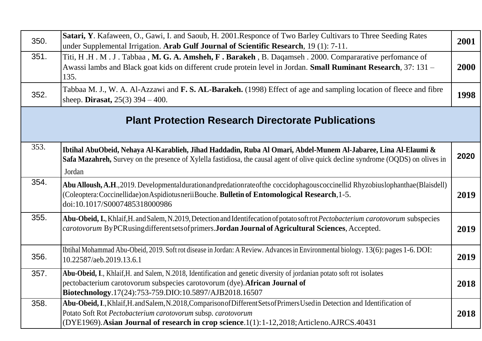| 350. | Satari, Y. Kafaween, O., Gawi, I. and Saoub, H. 2001.Responce of Two Barley Cultivars to Three Seeding Rates<br>under Supplemental Irrigation. Arab Gulf Journal of Scientific Research, 19 (1): 7-11.                                                                                      | 2001 |
|------|---------------------------------------------------------------------------------------------------------------------------------------------------------------------------------------------------------------------------------------------------------------------------------------------|------|
| 351. | Titi, H.H.M.J. Tabbaa, M.G.A.Amsheh, F.Barakeh, B.Daqamseh. 2000. Compararative perfomance of<br>Awassi lambs and Black goat kids on different crude protein level in Jordan. Small Ruminant Research, 37: 131 -<br>135.                                                                    | 2000 |
| 352. | Tabbaa M. J., W. A. Al-Azzawi and F. S. AL-Barakeh. (1998) Effect of age and sampling location of fleece and fibre<br>sheep. <b>Dirasat</b> , $25(3)$ 394 – 400.                                                                                                                            | 1998 |
|      | <b>Plant Protection Research Directorate Publications</b>                                                                                                                                                                                                                                   |      |
| 353. | Ibtihal AbuObeid, Nehaya Al-Karablieh, Jihad Haddadin, Ruba Al Omari, Abdel-Munem Al-Jabaree, Lina Al-Elaumi &<br>Safa Mazahreh, Survey on the presence of Xylella fastidiosa, the causal agent of olive quick decline syndrome (OQDS) on olives in<br>Jordan                               | 2020 |
| 354. | Abu Alloush, A.H., 2019. Developmental duration and predation rate of the coccidophagous coccinellid Rhyzobius lophanthae (Blaisdell)<br>(Coleoptera: Coccinellidae) on Aspidiotus nerii Bouche. Bulletin of Entomological Research, 1-5.<br>doi:10.1017/S0007485318000986                  | 2019 |
| 355. | Abu-Obeid, I., Khlaif, H. and Salem, N.2019, Detection and Identifecation of potato soft rot Pectobacterium carotovorum subspecies<br>carotovorum ByPCRusing different sets of primers. Jordan Journal of Agricultural Sciences, Accepted.                                                  | 2019 |
| 356. | Ibtihal Mohammad Abu-Obeid, 2019. Soft rot disease in Jordan: A Review. Advances in Environmental biology. 13(6): pages 1-6. DOI:<br>10.22587/aeb.2019.13.6.1                                                                                                                               | 2019 |
| 357. | Abu-Obeid, I., Khlaif, H. and Salem, N.2018, Identification and genetic diversity of jordanian potato soft rot isolates<br>pectobacterium carotovorum subspecies carotovorum (dye). African Journal of<br>Biotechnology.17(24):753-759.DIO:10.5897/AJB2018.16507                            | 2018 |
| 358. | Abu-Obeid, I., Khlaif, H. and Salem, N.2018, Comparison of Different Sets of Primers Used in Detection and Identification of<br>Potato Soft Rot Pectobacterium carotovorum subsp. carotovorum<br>(DYE1969). Asian Journal of research in crop science.1(1):1-12,2018; Articleno.AJRCS.40431 | 2018 |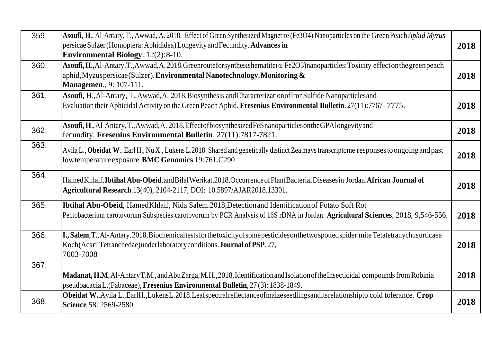| 359. | Asoufi, H., Al-Antary, T., Awwad, A. 2018. Effect of Green Synthesized Magnetite (Fe3O4) Nanoparticles on the Green Peach Aphid Myzus<br>persicae Sulzer (Homoptera: Aphididea) Longevity and Fecundity. Advances in<br><b>Environmental Biology.</b> 12(2):8-10. | 2018 |
|------|-------------------------------------------------------------------------------------------------------------------------------------------------------------------------------------------------------------------------------------------------------------------|------|
| 360. | Asoufi, H., Al-Antary, T., Awwad, A. 2018. Greenrouteforsynthesishematite ( $\alpha$ -Fe2O3) nanoparticles: Toxicity effecton the green peach<br>aphid, Myzus persicae (Sulzer). Environmental Nanotechnology, Monitoring &<br><b>Managemen.</b> , 9: 107-111.    | 2018 |
| 361. | Asoufi, H., Al-Antary, T., Awwad, A. 2018. Biosynthesis and Characterization of Iron Sulfide Nanoparticles and<br>Evaluation their Aphicidal Activity on the Green Peach Aphid. Fresenius Environmental Bulletin. 27(11):7767-7775.                               | 2018 |
| 362. | Asoufi, H., Al-Antary, T., Awwad, A. 2018. Effect of biosynthesized FeS nanoparticles on the GPA longevity and<br>fecundity. Fresenius Environmental Bulletin. 27(11):7817-7821.                                                                                  | 2018 |
| 363. | Avila L., Obeidat W., Earl H., Nu X., Lukens L.2018. Shared and genetically distinct Zea mays transcriptome responses to ongoing and past<br>low temperature exposure. BMC Genomics 19:761.C290                                                                   | 2018 |
| 364. | Hamed Khlaif, Ibtihal Abu-Obeid, and Bilal Werikat.2018, Occurrence of Plant Bacterial Diseases in Jordan. African Journal of<br>Agricultural Research.13(40), 2104-2117, DOI: 10.5897/AJAR2018.13301.                                                            | 2018 |
| 365. | Ibtihal Abu-Obeid, Hamed Khlaif, Nida Salem.2018, Detection and Identification of Potato Soft Rot<br>Pectobacterium carotovorum Subspecies carotovorum by PCR Analysis of 16S rDNA in Jordan. Agricultural Sciences, 2018, 9,546-556.                             | 2018 |
| 366. | I., Salem, T., Al-Antary. 2018, Biochemical tests for the toxicity of some pesticides on the two spotted spider mite Tetatetranychus urticaea<br>Koch (Acari: Tetranchedae) under laboratory conditions. Journal of PSP. 27,<br>7003-7008                         | 2018 |
| 367. | Madanat, H.M. Al-Antary T.M., and Abu Zarga, M.H., 2018, Identification and Isolation of the Insecticidal compounds from Robinia<br>pseudoacacia L. (Fabaceae), Fresenius Environmental Bulletin, 27 (3): 1838-1849.                                              | 2018 |
| 368. | Obeidat W., Avila L., EarlH., LukensL. 2018. Leafspectral reflectance of maizes eedlings and its relationship to cold tolerance. Crop<br>Science 58: 2569-2580.                                                                                                   | 2018 |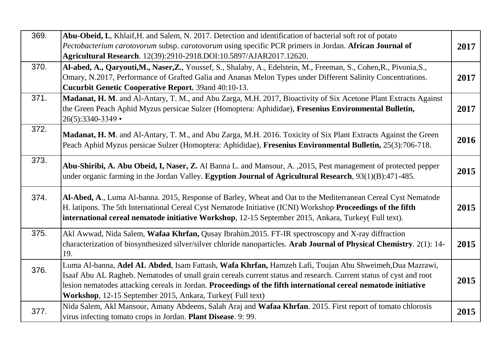| 369. | Abu-Obeid, I., Khlaif, H. and Salem, N. 2017. Detection and identification of bacterial soft rot of potato<br>Pectobacterium carotovorum subsp. carotovorum using specific PCR primers in Jordan. African Journal of<br>Agricultural Research. 12(39):2910-2918.DOI:10.5897/AJAR2017.12620.                                                                                                                   | 2017 |
|------|---------------------------------------------------------------------------------------------------------------------------------------------------------------------------------------------------------------------------------------------------------------------------------------------------------------------------------------------------------------------------------------------------------------|------|
| 370. | Al-abed, A., Qaryouti,M., Naser,Z., Youssef, S., Shalaby, A., Edelstein, M., Freeman, S., Cohen,R., Pivonia,S.,<br>Omary, N.2017, Performance of Grafted Galia and Ananas Melon Types under Different Salinity Concentrations.<br>Cucurbit Genetic Cooperative Report. 39and 40:10-13.                                                                                                                        | 2017 |
| 371. | Madanat, H. M. and Al-Antary, T. M., and Abu Zarga, M.H. 2017, Bioactivity of Six Acetone Plant Extracts Against<br>the Green Peach Aphid Myzus persicae Sulzer (Homoptera: Aphididae), Fresenius Environmental Bulletin,<br>26(5):3340-3349 •                                                                                                                                                                | 2017 |
| 372. | Madanat, H. M. and Al-Antary, T. M., and Abu Zarga, M.H. 2016. Toxicity of Six Plant Extracts Against the Green<br>Peach Aphid Myzus persicae Sulzer (Homoptera: Aphididae), Fresenius Environmental Bulletin, 25(3):706-718.                                                                                                                                                                                 | 2016 |
| 373. | Abu-Shiribi, A. Abu Obeid, I, Naser, Z. Al Banna L. and Mansour, A. , 2015, Pest management of protected pepper<br>under organic farming in the Jordan Valley. Egyption Journal of Agricultural Research, 93(1)(B):471-485.                                                                                                                                                                                   | 2015 |
| 374. | Al-Abed, A., Luma Al-banna. 2015, Response of Barley, Wheat and Oat to the Mediterranean Cereal Cyst Nematode<br>H. latipons. The 5th International Cereal Cyst Nematode Initiative (ICNI) Workshop Proceedings of the fifth<br>international cereal nematode initiative Workshop, 12-15 September 2015, Ankara, Turkey(Full text).                                                                           | 2015 |
| 375. | Akl Awwad, Nida Salem, Wafaa Khrfan, Qusay Ibrahim.2015. FT-IR spectroscopy and X-ray diffraction<br>characterization of biosynthesized silver/silver chloride nanoparticles. Arab Journal of Physical Chemistry. 2(1): 14-<br>19.                                                                                                                                                                            | 2015 |
| 376. | Luma Al-banna, Adel AL Abded, Isam Fattash, Wafa Khrfan, Hamzeh Lafi, Toujan Abu Shweimeh, Dua Mazrawi,<br>Isaaf Abu AL Ragheb. Nematodes of small grain cereals current status and research. Current status of cyst and root<br>lesion nematodes attacking cereals in Jordan. Proceedings of the fifth international cereal nematode initiative<br>Workshop, 12-15 September 2015, Ankara, Turkey(Full text) | 2015 |
| 377. | Nida Salem, Akl Mansour, Amany Abdeens, Salah Araj and Wafaa Khrfan. 2015. First report of tomato chlorosis<br>virus infecting tomato crops in Jordan. Plant Disease. 9: 99.                                                                                                                                                                                                                                  | 2015 |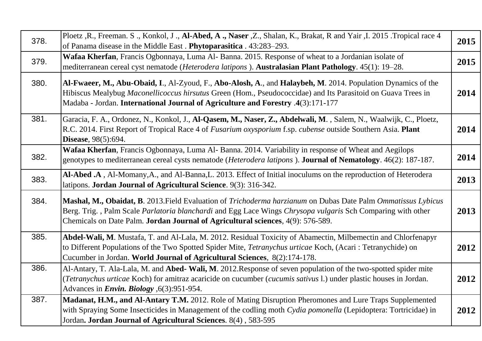| 378. | Ploetz , R., Freeman. S., Konkol, J., Al-Abed, A., Naser , Z., Shalan, K., Brakat, R and Yair , I. 2015. Tropical race 4<br>of Panama disease in the Middle East. Phytoparasitica. 43:283-293.                                                                                                                   | 2015 |
|------|------------------------------------------------------------------------------------------------------------------------------------------------------------------------------------------------------------------------------------------------------------------------------------------------------------------|------|
| 379. | Wafaa Kherfan, Francis Ogbonnaya, Luma Al-Banna. 2015. Response of wheat to a Jordanian isolate of<br>mediterranean cereal cyst nematode (Heterodera latipons). Australasian Plant Pathology. 45(1): 19-28.                                                                                                      | 2015 |
| 380. | Al-Fwaeer, M., Abu-Obaid, I., Al-Zyoud, F., Abo-Alosh, A., and Halaybeh, M. 2014. Population Dynamics of the<br>Hibiscus Mealybug Maconellicoccus hirsutus Green (Hom., Pseudococcidae) and Its Parasitoid on Guava Trees in<br>Madaba - Jordan. International Journal of Agriculture and Forestry .4(3):171-177 | 2014 |
| 381. | Garacia, F. A., Ordonez, N., Konkol, J., Al-Qasem, M., Naser, Z., Abdelwali, M., Salem, N., Waalwijk, C., Ploetz,<br>R.C. 2014. First Report of Tropical Race 4 of Fusarium oxysporium f.sp. cubense outside Southern Asia. Plant<br><b>Disease</b> , 98(5):694.                                                 | 2014 |
| 382. | Wafaa Kherfan, Francis Ogbonnaya, Luma Al-Banna. 2014. Variability in response of Wheat and Aegilops<br>genotypes to mediterranean cereal cysts nematode (Heterodera latipons). Journal of Nematology. 46(2): 187-187.                                                                                           | 2014 |
| 383. | Al-Abed .A, Al-Momany,A., and Al-Banna,L. 2013. Effect of Initial inoculums on the reproduction of Heterodera<br>latipons. Jordan Journal of Agricultural Science. 9(3): 316-342.                                                                                                                                | 2013 |
| 384. | Mashal, M., Obaidat, B. 2013. Field Evaluation of Trichoderma harzianum on Dubas Date Palm Ommatissus Lybicus<br>Berg. Trig., Palm Scale Parlatoria blanchardi and Egg Lace Wings Chrysopa vulgaris Sch Comparing with other<br>Chemicals on Date Palm. Jordan Journal of Agricultural sciences, 4(9): 576-589.  | 2013 |
| 385. | Abdel-Wali, M. Mustafa, T. and Al-Lala, M. 2012. Residual Toxicity of Abamectin, Milbemectin and Chlorfenapyr<br>to Different Populations of the Two Spotted Spider Mite, Tetranychus urticae Koch, (Acari: Tetranychide) on<br>Cucumber in Jordan. World Journal of Agricultural Sciences, 8(2):174-178.        | 2012 |
| 386. | Al-Antary, T. Ala-Lala, M. and Abed-Wali, M. 2012. Response of seven population of the two-spotted spider mite<br>(Tetranychus urticae Koch) for amitraz acaricide on cucumber (cucumis sativus 1.) under plastic houses in Jordan.<br>Advances in <i>Envin. Biology</i> , 6(3):951-954.                         | 2012 |
| 387. | Madanat, H.M., and Al-Antary T.M. 2012. Role of Mating Disruption Pheromones and Lure Traps Supplemented<br>with Spraying Some Insecticides in Management of the codling moth Cydia pomonella (Lepidoptera: Tortricidae) in<br>Jordan. Jordan Journal of Agricultural Sciences. 8(4), 583-595                    | 2012 |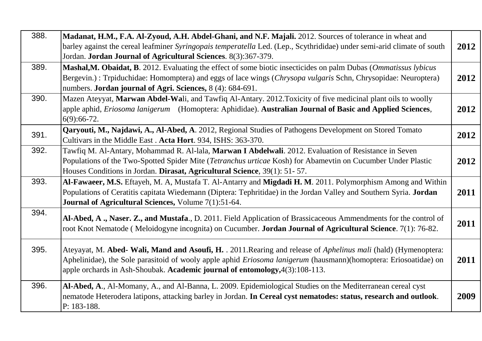| 388. | Madanat, H.M., F.A. Al-Zyoud, A.H. Abdel-Ghani, and N.F. Majali. 2012. Sources of tolerance in wheat and<br>barley against the cereal leafminer Syringopais temperatella Led. (Lep., Scythrididae) under semi-arid climate of south<br>Jordan. Jordan Journal of Agricultural Sciences. 8(3):367-379.                             | 2012 |
|------|-----------------------------------------------------------------------------------------------------------------------------------------------------------------------------------------------------------------------------------------------------------------------------------------------------------------------------------|------|
| 389. | Mashal, M. Obaidat, B. 2012. Evaluating the effect of some biotic insecticides on palm Dubas (Ommatissus lybicus<br>Bergevin.): Trpiduchidae: Homomptera) and eggs of lace wings (Chrysopa vulgaris Schn, Chrysopidae: Neuroptera)<br>numbers. Jordan journal of Agri. Sciences, 8 (4): 684-691.                                  | 2012 |
| 390. | Mazen Ateyyat, Marwan Abdel-Wali, and Tawfiq Al-Antary. 2012. Toxicity of five medicinal plant oils to woolly<br>apple aphid, Eriosoma lanigerum (Homoptera: Aphididae). Australian Journal of Basic and Applied Sciences,<br>$6(9):66-72.$                                                                                       | 2012 |
| 391. | Qaryouti, M., Najdawi, A., Al-Abed, A. 2012, Regional Studies of Pathogens Development on Stored Tomato<br>Cultivars in the Middle East. Acta Hort. 934, ISHS: 363-370.                                                                                                                                                           | 2012 |
| 392. | Tawfiq M. Al-Antary, Mohammad R. Al-lala, Marwan I Abdelwali. 2012. Evaluation of Resistance in Seven<br>Populations of the Two-Spotted Spider Mite (Tetranchus urticae Kosh) for Abamevtin on Cucumber Under Plastic<br>Houses Conditions in Jordan. Dirasat, Agricultural Science, 39(1): 51-57.                                | 2012 |
| 393. | Al-Fawaeer, M.S. Eftayeh, M. A, Mustafa T. Al-Antarry and Migdadi H. M. 2011. Polymorphism Among and Within<br>Populations of Ceratitis capitata Wiedemann (Diptera: Tephritidae) in the Jordan Valley and Southern Syria. Jordan<br>Journal of Agricultural Sciences, Volume 7(1):51-64.                                         | 2011 |
| 394. | Al-Abed, A., Naser. Z., and Mustafa., D. 2011. Field Application of Brassicaceous Ammendments for the control of<br>root Knot Nematode (Meloidogyne incognita) on Cucumber. Jordan Journal of Agricultural Science. 7(1): 76-82.                                                                                                  | 2011 |
| 395. | Ateyayat, M. Abed- Wali, Mand and Asoufi, H. . 2011. Rearing and release of <i>Aphelinus mali</i> (hald) (Hymenoptera:<br>Aphelinidae), the Sole parasitoid of wooly apple aphid <i>Eriosoma lanigerum</i> (hausmann)(homoptera: Eriosoatidae) on<br>apple orchards in Ash-Shoubak. Academic journal of entomology, 4(3):108-113. | 2011 |
| 396. | Al-Abed, A., Al-Momany, A., and Al-Banna, L. 2009. Epidemiological Studies on the Mediterranean cereal cyst<br>nematode Heterodera latipons, attacking barley in Jordan. In Cereal cyst nematodes: status, research and outlook.<br>P: 183-188.                                                                                   | 2009 |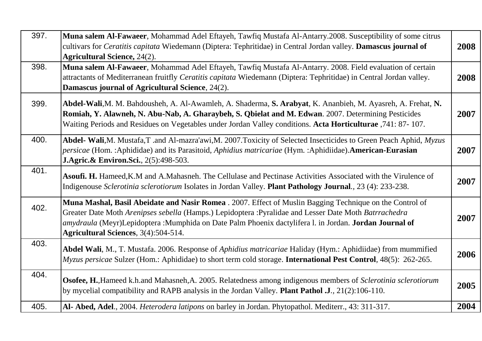| 397. | Muna salem Al-Fawaeer, Mohammad Adel Eftayeh, Tawfiq Mustafa Al-Antarry.2008. Susceptibility of some citrus<br>cultivars for Ceratitis capitata Wiedemann (Diptera: Tephritidae) in Central Jordan valley. Damascus journal of<br><b>Agricultural Science, 24(2).</b>                                                                                                 | 2008 |
|------|-----------------------------------------------------------------------------------------------------------------------------------------------------------------------------------------------------------------------------------------------------------------------------------------------------------------------------------------------------------------------|------|
| 398. | Muna salem Al-Fawaeer, Mohammad Adel Eftayeh, Tawfiq Mustafa Al-Antarry. 2008. Field evaluation of certain<br>attractants of Mediterranean fruitfly Ceratitis capitata Wiedemann (Diptera: Tephritidae) in Central Jordan valley.<br>Damascus journal of Agricultural Science, 24(2).                                                                                 | 2008 |
| 399. | Abdel-Wali, M. M. Bahdousheh, A. Al-Awamleh, A. Shaderma, S. Arabyat, K. Ananbieh, M. Ayasreh, A. Frehat, N.<br>Romiah, Y. Alawneh, N. Abu-Nab, A. Gharaybeh, S. Qbielat and M. Edwan. 2007. Determining Pesticides<br>Waiting Periods and Residues on Vegetables under Jordan Valley conditions. Acta Horticulturae ,741: 87-107.                                    | 2007 |
| 400. | Abdel- Wali, M. Mustafa, T. and Al-mazra'awi, M. 2007. Toxicity of Selected Insecticides to Green Peach Aphid, Myzus<br>persicae (Hom.: Aphididae) and its Parasitoid, Aphidius matricariae (Hym.: Aphidiidae). American-Eurasian<br><b>J.Agric. &amp; Environ. Sci.</b> , 2(5):498-503.                                                                              | 2007 |
| 401. | Asoufi. H. Hameed, K.M and A.Mahasneh. The Cellulase and Pectinase Activities Associated with the Virulence of<br>Indigenouse Sclerotinia sclerotiorum Isolates in Jordan Valley. Plant Pathology Journal., 23 (4): 233-238.                                                                                                                                          | 2007 |
| 402. | Muna Mashal, Basil Abeidate and Nasir Romea . 2007. Effect of Muslin Bagging Technique on the Control of<br>Greater Date Moth Arenipses sebella (Hamps.) Lepidoptera : Pyralidae and Lesser Date Moth Batrrachedra<br>amydraula (Meyr)Lepidoptera : Mumphida on Date Palm Phoenix dactylifera l. in Jordan. Jordan Journal of<br>Agricultural Sciences, 3(4):504-514. | 2007 |
| 403. | Abdel Wali, M., T. Mustafa. 2006. Response of <i>Aphidius matricariae</i> Haliday (Hym.: Aphidiidae) from mummified<br>Myzus persicae Sulzer (Hom.: Aphididae) to short term cold storage. International Pest Control, 48(5): 262-265.                                                                                                                                | 2006 |
| 404. | Osofee, H., Hameed k.h.and Mahasneh, A. 2005. Relatedness among indigenous members of Sclerotinia sclerotiorum<br>by mycelial compatibility and RAPB analysis in the Jordan Valley. Plant Pathol .J., 21(2):106-110.                                                                                                                                                  | 2005 |
| 405. | Al- Abed, Adel., 2004. Heterodera latipons on barley in Jordan. Phytopathol. Mediterr., 43: 311-317.                                                                                                                                                                                                                                                                  | 2004 |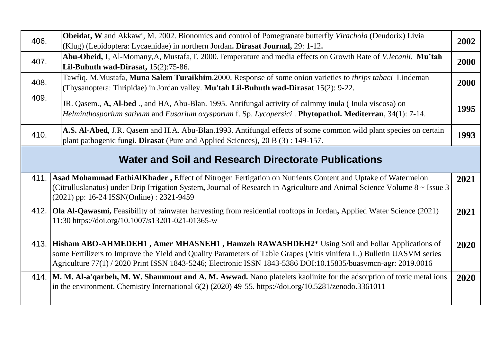| 406. | <b>Obeidat, W</b> and Akkawi, M. 2002. Bionomics and control of Pomegranate butterfly Virachola (Deudorix) Livia<br>(Klug) (Lepidoptera: Lycaenidae) in northern Jordan. Dirasat Journal, 29: 1-12.                                                                                                                                                      | 2002 |
|------|----------------------------------------------------------------------------------------------------------------------------------------------------------------------------------------------------------------------------------------------------------------------------------------------------------------------------------------------------------|------|
| 407. | Abu-Obeid, I, Al-Momany, A, Mustafa, T. 2000. Temperature and media effects on Growth Rate of V.lecanii. Mu'tah<br>Lil-Buhuth wad-Dirasat, $15(2):75-86$ .                                                                                                                                                                                               | 2000 |
| 408. | Tawfiq. M.Mustafa, Muna Salem Turaikhim.2000. Response of some onion varieties to <i>thrips tabaci</i> Lindeman<br>(Thysanoptera: Thripidae) in Jordan valley. Mu'tah Lil-Buhuth wad-Dirasat 15(2): 9-22.                                                                                                                                                | 2000 |
| 409. | JR. Qasem., A, Al-bed., and HA, Abu-Blan. 1995. Antifungal activity of calmmy inula (Inula viscosa) on<br>Helminthosporium sativum and Fusarium oxysporum f. Sp. Lycopersici . Phytopathol. Mediterran, 34(1): 7-14.                                                                                                                                     | 1995 |
| 410. | A.S. Al-Abed, J.R. Qasem and H.A. Abu-Blan.1993. Antifungal effects of some common wild plant species on certain<br>plant pathogenic fungi. Dirasat (Pure and Applied Sciences), 20 B (3): 149-157.                                                                                                                                                      | 1993 |
|      | <b>Water and Soil and Research Directorate Publications</b>                                                                                                                                                                                                                                                                                              |      |
|      | 411. Asad Mohammad FathiAlKhader, Effect of Nitrogen Fertigation on Nutrients Content and Uptake of Watermelon<br>(Citrulluslanatus) under Drip Irrigation System, Journal of Research in Agriculture and Animal Science Volume 8 ~ Issue 3<br>(2021) pp: 16-24 ISSN(Online) : 2321-9459                                                                 | 2021 |
| 412. | Ola Al-Qawasmi, Feasibility of rainwater harvesting from residential rooftops in Jordan, Applied Water Science (2021)<br>11:30 https://doi.org/10.1007/s13201-021-01365-w                                                                                                                                                                                | 2021 |
|      | 413. Hisham ABO-AHMEDEH1, Amer MHASNEH1, Hamzeh RAWASHDEH2 <sup>*</sup> Using Soil and Foliar Applications of<br>some Fertilizers to Improve the Yield and Quality Parameters of Table Grapes (Vitis vinifera L.) Bulletin UASVM series<br>Agriculture 77(1) / 2020 Print ISSN 1843-5246; Electronic ISSN 1843-5386 DOI:10.15835/buasvmcn-agr: 2019.0016 | 2020 |
|      | 414. M. M. Al-a'qarbeh, M. W. Shammout and A. M. Awwad. Nano platelets kaolinite for the adsorption of toxic metal ions<br>in the environment. Chemistry International 6(2) (2020) 49-55. https://doi.org/10.5281/zenodo.3361011                                                                                                                         | 2020 |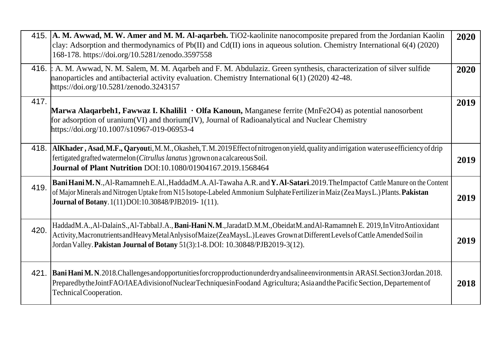|      | 415. A. M. Awwad, M. W. Amer and M. M. Al-aqarbeh. TiO2-kaolinite nanocomposite prepared from the Jordanian Kaolin<br>clay: Adsorption and thermodynamics of $Pb(II)$ and $Cd(II)$ ions in aqueous solution. Chemistry International 6(4) (2020)<br>168-178. https://doi.org/10.5281/zenodo.3597558                                            | 2020 |
|------|------------------------------------------------------------------------------------------------------------------------------------------------------------------------------------------------------------------------------------------------------------------------------------------------------------------------------------------------|------|
|      | 416. : A. M. Awwad, N. M. Salem, M. M. Agarbeh and F. M. Abdulaziz. Green synthesis, characterization of silver sulfide<br>nanoparticles and antibacterial activity evaluation. Chemistry International 6(1) (2020) 42-48.<br>https://doi.org/10.5281/zenodo.3243157                                                                           | 2020 |
| 417. | Marwa Alaqarbeh1, Fawwaz I. Khalili1 · Olfa Kanoun, Manganese ferrite (MnFe2O4) as potential nanosorbent<br>for adsorption of uranium(VI) and thorium(IV), Journal of Radioanalytical and Nuclear Chemistry<br>https://doi.org/10.1007/s10967-019-06953-4                                                                                      | 2019 |
|      | 418. AIKhader, Asad, M.F., Qaryouti, M.M., Okasheh, T.M. 2019 Effect of nitrogen on yield, quality and irrigation water use efficiency of drip<br>fertigated grafted watermelon (Citrullus lanatus) grown on a calcareous Soil.<br><b>Journal of Plant Nutrition DOI:10.1080/01904167.2019.1568464</b>                                         | 2019 |
| 419. | Bani Hani M.N., Al-Ramamneh E.Al., HaddadM.A.Al-Tawaha A.R. and Y.Al-Satari. 2019. The Impactof Cattle Manure on the Content<br>of Major Minerals and Nitrogen Uptake from N15 Isotope-Labeled Ammonium Sulphate Fertilizer in Maiz (Zea Mays L.) Plants. Pakistan<br><b>Journal of Botany.</b> 1(11) DOI:10.30848/PJB2019-1(11).              | 2019 |
| 420. | HaddadM.A.,Al-DalainS.,Al-TabbalJ.A., Bani-Hani N.M.,JaradatD.M.M.,ObeidatM.andAl-Ramamneh E. 2019,InVitroAntioxidant<br>Activity, Macronutrients and Heavy Metal Anlysis of Maize (ZeaMaysL.) Leaves Grown at Different Levels of Cattle Amended Soil in<br>Jordan Valley. Pakistan Journal of Botany 51(3):1-8. DOI: 10.30848/PJB2019-3(12). | 2019 |
| 421. | Bani Hani M. N. 2018. Challenges and opportunities for cropproduction under dry and saline environments in ARASI. Section 3 Jordan. 2018.<br>PreparedbytheJointFAO/IAEAdivisionofNuclearTechniquesinFoodand Agricultura; Asia and the Pacific Section, Departement of<br>Technical Cooperation.                                                | 2018 |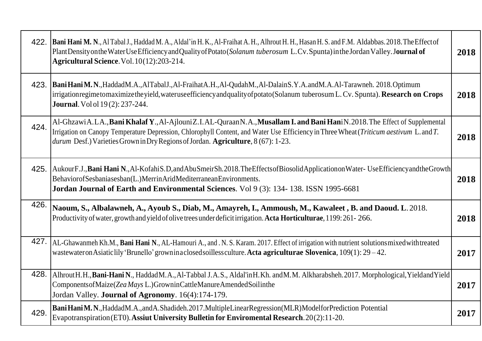|      | 422. Bani Hani M. N., Al Tabal J., Haddad M. A., Aldal'in H. K., Al-Fraihat A. H., Alhrout H. H., Hasan H. S. and F.M. Aldabbas. 2018. The Effect of<br>PlantDensity on the Water Use Efficiency and Quality of Potato (Solanum tuberosum L.Cv. Spunta) in the Jordan Valley. Journal of<br>Agricultural Science. Vol. 10(12):203-214.                  | 2018 |
|------|---------------------------------------------------------------------------------------------------------------------------------------------------------------------------------------------------------------------------------------------------------------------------------------------------------------------------------------------------------|------|
|      | 423. Bani Hani M.N., HaddadM.A., AlTabalJ., Al-FraihatA.H., Al-QudahM., Al-DalainS.Y.A. and M.A.Al-Tarawneh. 2018. Optimum<br>irrigationregimetomaximizetheyield, wateruseefficiency and quality of potato (Solanum tuberosum L. Cv. Spunta). Research on Crops<br><b>Journal</b> . Vol ol 19(2): 237-244.                                              | 2018 |
| 424. | Al-GhzawiA.LA., Bani Khalaf Y., Al-AjlouniZ.I.AL-QuraanN.A., Musallam I. and Bani HaniN.2018. The Effect of Supplemental<br>Irrigation on Canopy Temperature Depression, Chlorophyll Content, and Water Use Efficiency in Three Wheat (Triticum aestivum L. and T.<br>durum Desf.) Varieties Grown in Dry Regions of Jordan. Agriculture, 8 (67): 1-23. | 2018 |
|      | 425. AukourF.J., Bani Hani N., Al-KofahiS.D, and Abu SmeirSh. 2018. The Effects of Biosolid Application on Water- Use Efficiency and the Growth<br>BehaviorofSesbaniasesban(L.)MerrinAridMediterraneanEnvironments.<br>Jordan Journal of Earth and Environmental Sciences. Vol 9 (3): 134-138. ISSN 1995-6681                                           | 2018 |
| 426. | Naoum, S., Albalawneh, A., Ayoub S., Diab, M., Amayreh, I., Ammoush, M., Kawaleet, B. and Daoud. L. 2018.<br>Productivity of water, growth and yield of olive trees under deficit irrigation. Acta Horticulturae, 1199: 261-266.                                                                                                                        | 2018 |
|      | 427. AL-Ghawanmeh Kh.M., Bani Hani N., AL-Hamouri A., and .N.S. Karam. 2017. Effect of irrigation with nutrient solutions mixed with treated<br>wastewateron Asiatic lily 'Brunello' grown in a closed soilless culture. Acta agriculturae Slovenica, 109(1): 29 - 42.                                                                                  | 2017 |
| 428. | AlhroutH.H., Bani-Hani N., Haddad M.A., Al-Tabbal J.A.S., Aldal'in H.Kh. and M.M. Alkharabsheh. 2017. Morphological, Yieldand Yield<br>Components of Maize (Zea Mays L.) Grown in Cattle Manure Amended Soil in the<br>Jordan Valley. Journal of Agronomy. 16(4):174-179.                                                                               | 2017 |
| 429. | Bani Hani M.N., HaddadM.A., and A.Shadideh.2017. MultipleLinear Regression (MLR) Modelfor Prediction Potential<br>Evapotranspiration (ET0). Assiut University Bulletin for Enviromental Research. 20(2):11-20.                                                                                                                                          | 2017 |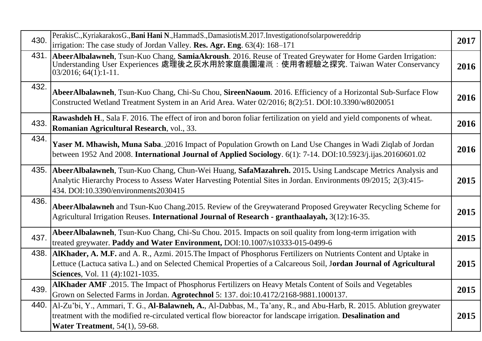| 430. | PerakisC., KyriakarakosG., Bani Hani N., HammadS., DamasiotisM. 2017. Investigation of solar powered drip<br>irrigation: The case study of Jordan Valley. Res. Agr. Eng. 63(4): 168–171                                                                                             | 2017 |
|------|-------------------------------------------------------------------------------------------------------------------------------------------------------------------------------------------------------------------------------------------------------------------------------------|------|
|      | 431. AbeerAlbalawneh, Tsun-Kuo Chang, SamiaAkroush. 2016. Reuse of Treated Greywater for Home Garden Irrigation:<br>Understanding User Experiences 處理後之灰水用於家庭農園灌溉: 使用者經驗之探究. Taiwan Water Conservancy<br>$03/2016$ ; $64(1)$ :1-11.                                                 | 2016 |
| 432. | AbeerAlbalawneh, Tsun-Kuo Chang, Chi-Su Chou, SireenNaoum. 2016. Efficiency of a Horizontal Sub-Surface Flow<br>Constructed Wetland Treatment System in an Arid Area. Water 02/2016; 8(2):51. DOI:10.3390/w8020051                                                                  | 2016 |
| 433. | <b>Rawashdeh H., Sala F. 2016.</b> The effect of iron and boron foliar fertilization on yield and yield components of wheat.<br>Romanian Agricultural Research, vol., 33.                                                                                                           | 2016 |
| 434. | Yaser M. Mhawish, Muna Saba. 32016 Impact of Population Growth on Land Use Changes in Wadi Ziqlab of Jordan<br>between 1952 And 2008. International Journal of Applied Sociology. 6(1): 7-14. DOI:10.5923/j.ijas.20160601.02                                                        | 2016 |
|      | 435. AbeerAlbalawneh, Tsun-Kuo Chang, Chun-Wei Huang, SafaMazahreh. 2015. Using Landscape Metrics Analysis and<br>Analytic Hierarchy Process to Assess Water Harvesting Potential Sites in Jordan. Environments 09/2015; 2(3):415-<br>434. DOI:10.3390/environments2030415          | 2015 |
| 436. | AbeerAlbalawneh and Tsun-Kuo Chang.2015. Review of the Greywaterand Proposed Greywater Recycling Scheme for<br>Agricultural Irrigation Reuses. International Journal of Research - granthaalayah, 3(12):16-35.                                                                      | 2015 |
| 437. | AbeerAlbalawneh, Tsun-Kuo Chang, Chi-Su Chou. 2015. Impacts on soil quality from long-term irrigation with<br>treated greywater. Paddy and Water Environment, DOI:10.1007/s10333-015-0499-6                                                                                         | 2015 |
| 438. | AlKhader, A. M.F. and A. R., Azmi. 2015. The Impact of Phosphorus Fertilizers on Nutrients Content and Uptake in<br>Lettuce (Lactuca sativa L.) and on Selected Chemical Properties of a Calcareous Soil, Jordan Journal of Agricultural<br>Sciences, Vol. 11 (4):1021-1035.        | 2015 |
| 439. | AlKhader AMF .2015. The Impact of Phosphorus Fertilizers on Heavy Metals Content of Soils and Vegetables<br>Grown on Selected Farms in Jordan. Agrotechnol 5: 137. doi:10.4172/2168-9881.1000137.                                                                                   | 2015 |
|      | 440. [Al-Zu'bi, Y., Ammari, T. G., Al-Balawneh, A., Al-Dabbas, M., Ta'any, R., and Abu-Harb, R. 2015. Ablution greywater<br>treatment with the modified re-circulated vertical flow bioreactor for landscape irrigation. Desalination and<br><b>Water Treatment</b> , 54(1), 59-68. | 2015 |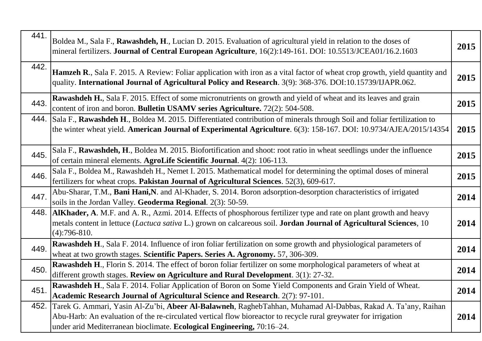| 441. | Boldea M., Sala F., Rawashdeh, H., Lucian D. 2015. Evaluation of agricultural yield in relation to the doses of<br>mineral fertilizers. Journal of Central European Agriculture, 16(2):149-161. DOI: 10.5513/JCEA01/16.2.1603                                                                             | 2015 |
|------|-----------------------------------------------------------------------------------------------------------------------------------------------------------------------------------------------------------------------------------------------------------------------------------------------------------|------|
| 442. | Hamzeh R., Sala F. 2015. A Review: Foliar application with iron as a vital factor of wheat crop growth, yield quantity and<br>quality. International Journal of Agricultural Policy and Research. 3(9): 368-376. DOI:10.15739/IJAPR.062.                                                                  | 2015 |
| 443. | Rawashdeh H., Sala F. 2015. Effect of some micronutrients on growth and yield of wheat and its leaves and grain<br>content of iron and boron. Bulletin USAMV series Agriculture. 72(2): 504-508.                                                                                                          | 2015 |
| 444. | Sala F., Rawashdeh H., Boldea M. 2015. Differentiated contribution of minerals through Soil and foliar fertilization to<br>the winter wheat yield. American Journal of Experimental Agriculture. 6(3): 158-167. DOI: 10.9734/AJEA/2015/14354                                                              | 2015 |
| 445. | Sala F., Rawashdeh, H., Boldea M. 2015. Biofortification and shoot: root ratio in wheat seedlings under the influence<br>of certain mineral elements. AgroLife Scientific Journal. 4(2): 106-113.                                                                                                         | 2015 |
| 446. | Sala F., Boldea M., Rawashdeh H., Nemet I. 2015. Mathematical model for determining the optimal doses of mineral<br>fertilizers for wheat crops. Pakistan Journal of Agricultural Sciences. 52(3), 609-617.                                                                                               | 2015 |
| 447. | Abu-Sharar, T.M., Bani Hani, N. and Al-Khader, S. 2014. Boron adsorption-desorption characteristics of irrigated<br>soils in the Jordan Valley. Geoderma Regional. 2(3): 50-59.                                                                                                                           | 2014 |
| 448. | AlKhader, A. M.F. and A. R., Azmi. 2014. Effects of phosphorous fertilizer type and rate on plant growth and heavy<br>metals content in lettuce (Lactuca sativa L.) grown on calcareous soil. Jordan Journal of Agricultural Sciences, 10<br>$(4):796-810.$                                               | 2014 |
| 449. | Rawashdeh H., Sala F. 2014. Influence of iron foliar fertilization on some growth and physiological parameters of<br>wheat at two growth stages. Scientific Papers. Series A. Agronomy. 57, 306-309.                                                                                                      | 2014 |
| 450. | <b>Rawashdeh H.</b> , Florin S. 2014. The effect of boron foliar fertilizer on some morphological parameters of wheat at<br>different growth stages. Review on Agriculture and Rural Development. 3(1): 27-32.                                                                                            | 2014 |
| 451. | Rawashdeh H., Sala F. 2014. Foliar Application of Boron on Some Yield Components and Grain Yield of Wheat.<br>Academic Research Journal of Agricultural Science and Research. 2(7): 97-101.                                                                                                               | 2014 |
| 452. | Tarek G. Ammari, Yasin Al-Zu'bi, Abeer Al-Balawneh, RaghebTahhan, Muhamad Al-Dabbas, Rakad A. Ta'any, Raihan<br>Abu-Harb: An evaluation of the re-circulated vertical flow bioreactor to recycle rural greywater for irrigation<br>under arid Mediterranean bioclimate. Ecological Engineering, 70:16-24. | 2014 |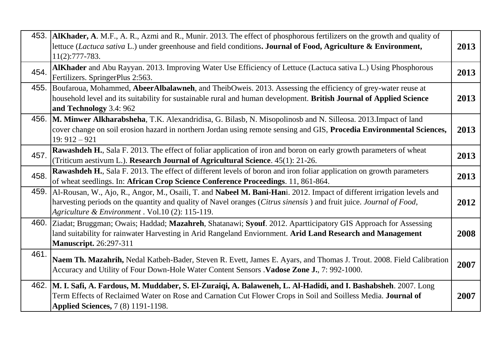|      | 453. AlKhader, A. M.F., A. R., Azmi and R., Munir. 2013. The effect of phosphorous fertilizers on the growth and quality of<br>lettuce (Lactuca sativa L.) under greenhouse and field conditions. Journal of Food, Agriculture & Environment,<br>$11(2):777-783.$                                      | 2013 |
|------|--------------------------------------------------------------------------------------------------------------------------------------------------------------------------------------------------------------------------------------------------------------------------------------------------------|------|
| 454. | AlKhader and Abu Rayyan. 2013. Improving Water Use Efficiency of Lettuce (Lactuca sativa L.) Using Phosphorous<br>Fertilizers. SpringerPlus 2:563.                                                                                                                                                     | 2013 |
| 455. | Boufaroua, Mohammed, AbeerAlbalawneh, and TheibOweis. 2013. Assessing the efficiency of grey-water reuse at<br>household level and its suitability for sustainable rural and human development. British Journal of Applied Science<br>and Technology 3.4: 962                                          | 2013 |
|      | 456. M. Minwer Alkharabsheha, T.K. Alexandridisa, G. Bilasb, N. Misopolinosb and N. Silleosa. 2013. Impact of land<br>cover change on soil erosion hazard in northern Jordan using remote sensing and GIS, Procedia Environmental Sciences,<br>$19:912-921$                                            | 2013 |
| 457. | Rawashdeh H., Sala F. 2013. The effect of foliar application of iron and boron on early growth parameters of wheat<br>(Triticum aestivum L.). Research Journal of Agricultural Science. 45(1): 21-26.                                                                                                  | 2013 |
| 458. | Rawashdeh H., Sala F. 2013. The effect of different levels of boron and iron foliar application on growth parameters<br>of wheat seedlings. In: African Crop Science Conference Proceedings. 11, 861-864.                                                                                              | 2013 |
|      | 459. Al-Rousan, W., Ajo, R., Angor, M., Osaili, T. and Nabeel M. Bani-Hani. 2012. Impact of different irrigation levels and<br>harvesting periods on the quantity and quality of Navel oranges (Citrus sinensis) and fruit juice. Journal of Food,<br>Agriculture & Environment . Vol.10 (2): 115-119. | 2012 |
|      | 460. Ziadat; Bruggman; Owais; Haddad; Mazahreh, Shatanawi; Syouf. 2012. Apartticipatory GIS Approach for Assessing<br>land suitability for rainwater Harvesting in Arid Rangeland Enviornment. Arid Land Research and Management<br><b>Manuscript.</b> 26:297-311                                      | 2008 |
| 461. | Naem Th. Mazahrih, Nedal Katbeh-Bader, Steven R. Evett, James E. Ayars, and Thomas J. Trout. 2008. Field Calibration<br>Accuracy and Utility of Four Down-Hole Water Content Sensors . Vadose Zone J., 7: 992-1000.                                                                                    | 2007 |
|      | 462. M. I. Safi, A. Fardous, M. Muddaber, S. El-Zuraiqi, A. Balaweneh, L. Al-Hadidi, and I. Bashabsheh. 2007. Long<br>Term Effects of Reclaimed Water on Rose and Carnation Cut Flower Crops in Soil and Soilless Media. Journal of<br><b>Applied Sciences, 7 (8) 1191-1198.</b>                       | 2007 |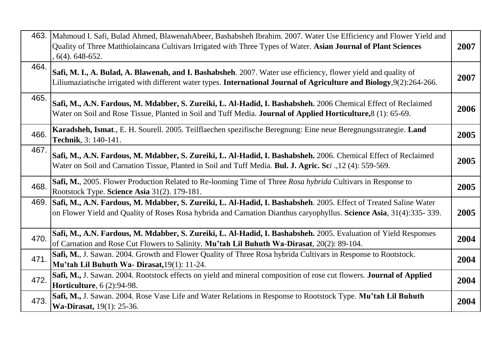|      | 463. Mahmoud I. Safi, Bulad Ahmed, BlawenahAbeer, Bashabsheh Ibrahim. 2007. Water Use Efficiency and Flower Yield and<br>Quality of Three Matthiolaincana Cultivars Irrigated with Three Types of Water. Asian Journal of Plant Sciences<br>$, 6(4)$ , 648-652. | 2007 |
|------|-----------------------------------------------------------------------------------------------------------------------------------------------------------------------------------------------------------------------------------------------------------------|------|
| 464. | Safi, M. I., A. Bulad, A. Blawenah, and I. Bashabsheh. 2007. Water use efficiency, flower yield and quality of<br>Liliumaziatische irrigated with different water types. International Journal of Agriculture and Biology, 9(2):264-266.                        | 2007 |
| 465. | Safi, M., A.N. Fardous, M. Mdabber, S. Zureiki, L. Al-Hadid, I. Bashabsheh. 2006 Chemical Effect of Reclaimed<br>Water on Soil and Rose Tissue, Planted in Soil and Tuff Media. Journal of Applied Horticulture, 8 (1): 65-69.                                  | 2006 |
| 466. | Karadsheh, Ismat., E. H. Sourell. 2005. Teilflaechen spezifische Beregnung: Eine neue Beregnungsstrategie. Land<br>Technik, 3: 140-141.                                                                                                                         | 2005 |
| 467. | Safi, M., A.N. Fardous, M. Mdabber, S. Zureiki, L. Al-Hadid, I. Bashabsheh. 2006. Chemical Effect of Reclaimed<br>Water on Soil and Carnation Tissue, Planted in Soil and Tuff Media. Bul. J. Agric. Sci., 12 (4): 559-569.                                     | 2005 |
| 468. | Safi, M., 2005. Flower Production Related to Re-looming Time of Three Rosa hybrida Cultivars in Response to<br>Rootstock Type. Science Asia 31(2). 179-181.                                                                                                     | 2005 |
| 469. | Safi, M., A.N. Fardous, M. Mdabber, S. Zureiki, L. Al-Hadid, I. Bashabsheh. 2005. Effect of Treated Saline Water<br>on Flower Yield and Quality of Roses Rosa hybrida and Carnation Dianthus caryophyllus. Science Asia, 31(4):335-339.                         | 2005 |
| 470. | Safi, M., A.N. Fardous, M. Mdabber, S. Zureiki, L. Al-Hadid, I. Bashabsheh. 2005. Evaluation of Yield Responses<br>of Carnation and Rose Cut Flowers to Salinity. Mu'tah Lil Buhuth Wa-Dirasat, 20(2): 89-104.                                                  | 2004 |
| 471. | Safi, M., J. Sawan. 2004. Growth and Flower Quality of Three Rosa hybrida Cultivars in Response to Rootstock.<br>Mu'tah Lil Buhuth Wa- Dirasat, 19(1): 11-24.                                                                                                   | 2004 |
| 472. | Safi, M., J. Sawan. 2004. Rootstock effects on yield and mineral composition of rose cut flowers. Journal of Applied<br><b>Horticulture</b> , 6 (2):94-98.                                                                                                      | 2004 |
| 473. | Safi, M., J. Sawan. 2004. Rose Vase Life and Water Relations in Response to Rootstock Type. Mu'tah Lil Buhuth<br>Wa-Dirasat, 19(1): 25-36.                                                                                                                      | 2004 |